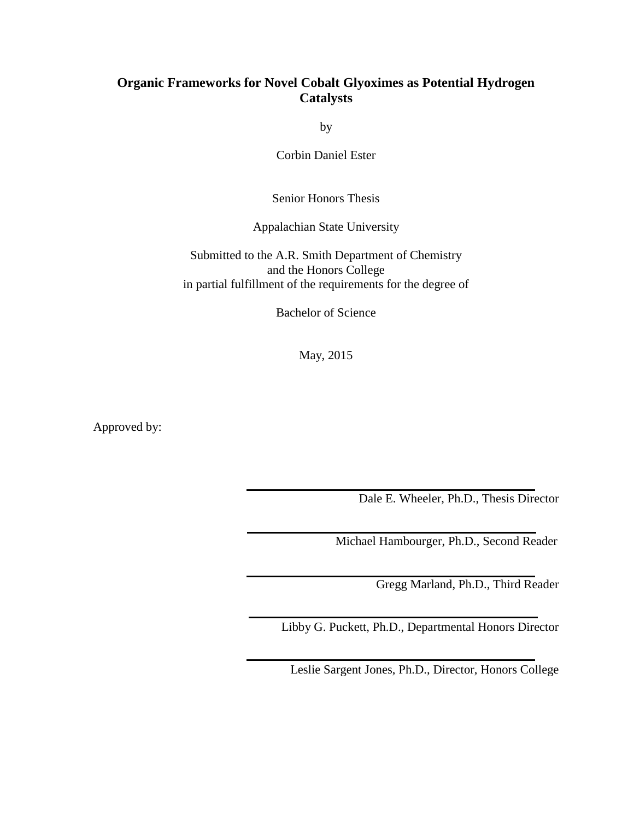# **Organic Frameworks for Novel Cobalt Glyoximes as Potential Hydrogen Catalysts**

by

Corbin Daniel Ester

Senior Honors Thesis

Appalachian State University

Submitted to the A.R. Smith Department of Chemistry and the Honors College in partial fulfillment of the requirements for the degree of

Bachelor of Science

May, 2015

Approved by:

Dale E. Wheeler, Ph.D., Thesis Director

Michael Hambourger, Ph.D., Second Reader

Gregg Marland, Ph.D., Third Reader

Libby G. Puckett, Ph.D., Departmental Honors Director

Leslie Sargent Jones, Ph.D., Director, Honors College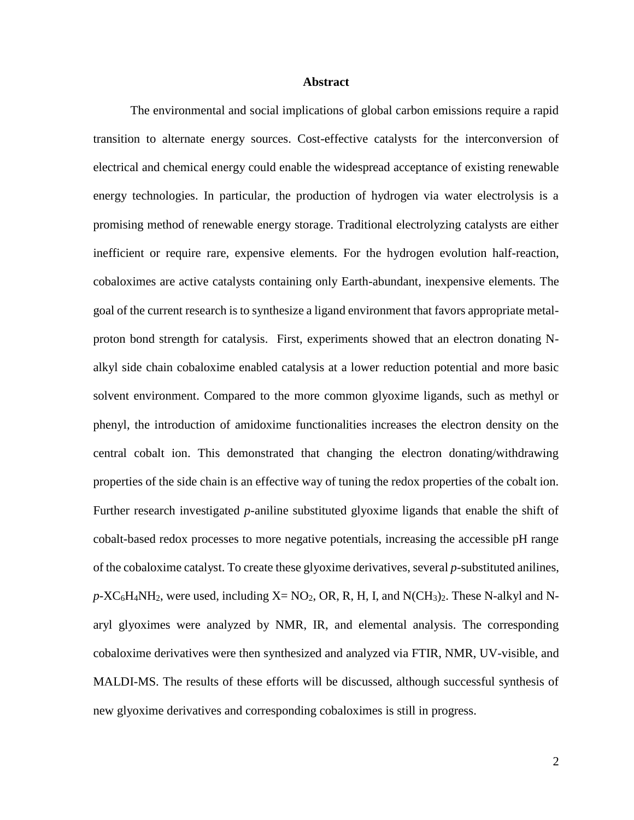#### **Abstract**

The environmental and social implications of global carbon emissions require a rapid transition to alternate energy sources. Cost-effective catalysts for the interconversion of electrical and chemical energy could enable the widespread acceptance of existing renewable energy technologies. In particular, the production of hydrogen via water electrolysis is a promising method of renewable energy storage. Traditional electrolyzing catalysts are either inefficient or require rare, expensive elements. For the hydrogen evolution half-reaction, cobaloximes are active catalysts containing only Earth-abundant, inexpensive elements. The goal of the current research is to synthesize a ligand environment that favors appropriate metalproton bond strength for catalysis. First, experiments showed that an electron donating Nalkyl side chain cobaloxime enabled catalysis at a lower reduction potential and more basic solvent environment. Compared to the more common glyoxime ligands, such as methyl or phenyl, the introduction of amidoxime functionalities increases the electron density on the central cobalt ion. This demonstrated that changing the electron donating/withdrawing properties of the side chain is an effective way of tuning the redox properties of the cobalt ion. Further research investigated *p*-aniline substituted glyoxime ligands that enable the shift of cobalt-based redox processes to more negative potentials, increasing the accessible pH range of the cobaloxime catalyst. To create these glyoxime derivatives, several *p*-substituted anilines,  $p$ -XC<sub>6</sub>H<sub>4</sub>NH<sub>2</sub>, were used, including X= NO<sub>2</sub>, OR, R, H, I, and N(CH<sub>3</sub>)<sub>2</sub>. These N-alkyl and Naryl glyoximes were analyzed by NMR, IR, and elemental analysis. The corresponding cobaloxime derivatives were then synthesized and analyzed via FTIR, NMR, UV-visible, and MALDI-MS. The results of these efforts will be discussed, although successful synthesis of new glyoxime derivatives and corresponding cobaloximes is still in progress.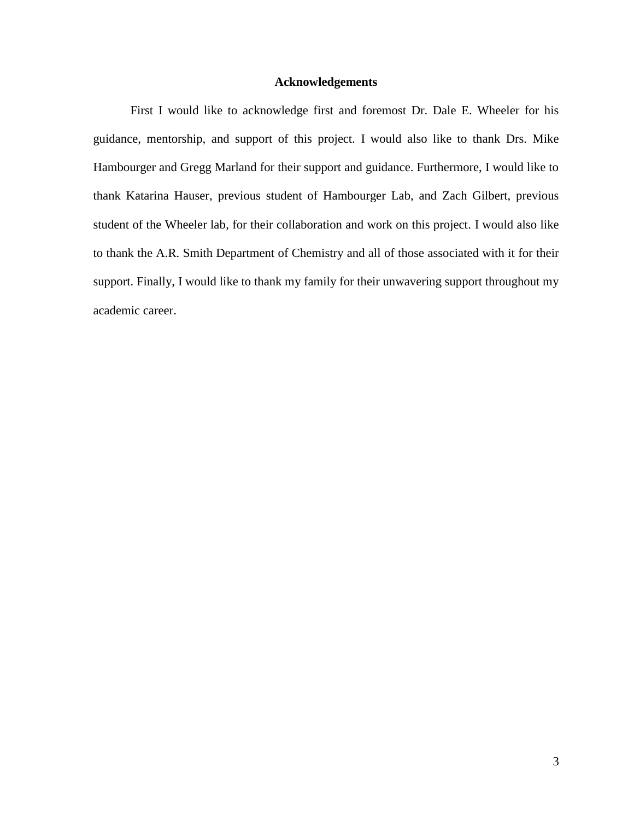# **Acknowledgements**

First I would like to acknowledge first and foremost Dr. Dale E. Wheeler for his guidance, mentorship, and support of this project. I would also like to thank Drs. Mike Hambourger and Gregg Marland for their support and guidance. Furthermore, I would like to thank Katarina Hauser, previous student of Hambourger Lab, and Zach Gilbert, previous student of the Wheeler lab, for their collaboration and work on this project. I would also like to thank the A.R. Smith Department of Chemistry and all of those associated with it for their support. Finally, I would like to thank my family for their unwavering support throughout my academic career.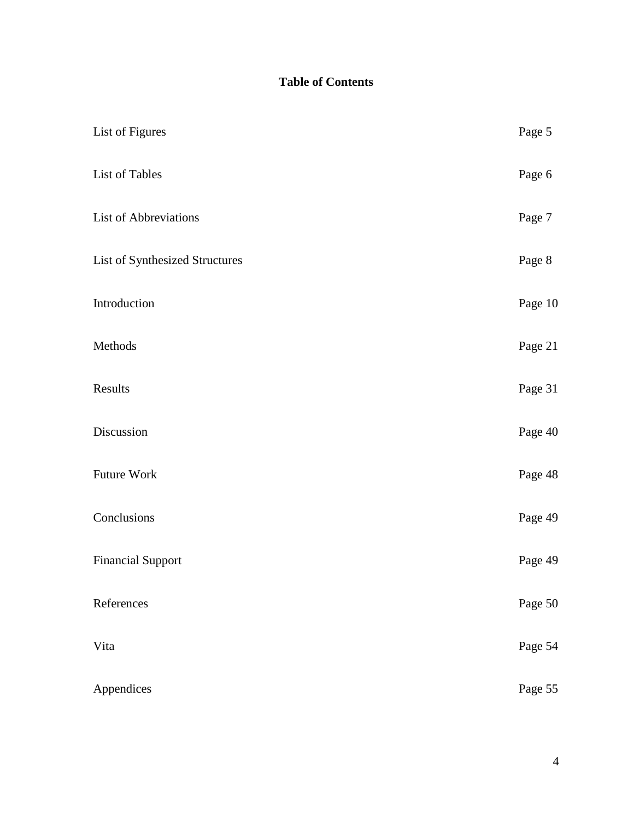# **Table of Contents**

| List of Figures                | Page 5  |
|--------------------------------|---------|
| List of Tables                 | Page 6  |
| List of Abbreviations          | Page 7  |
| List of Synthesized Structures | Page 8  |
| Introduction                   | Page 10 |
| Methods                        | Page 21 |
| Results                        | Page 31 |
| Discussion                     | Page 40 |
| Future Work                    | Page 48 |
| Conclusions                    | Page 49 |
| <b>Financial Support</b>       | Page 49 |
| References                     | Page 50 |
| Vita                           | Page 54 |
| Appendices                     | Page 55 |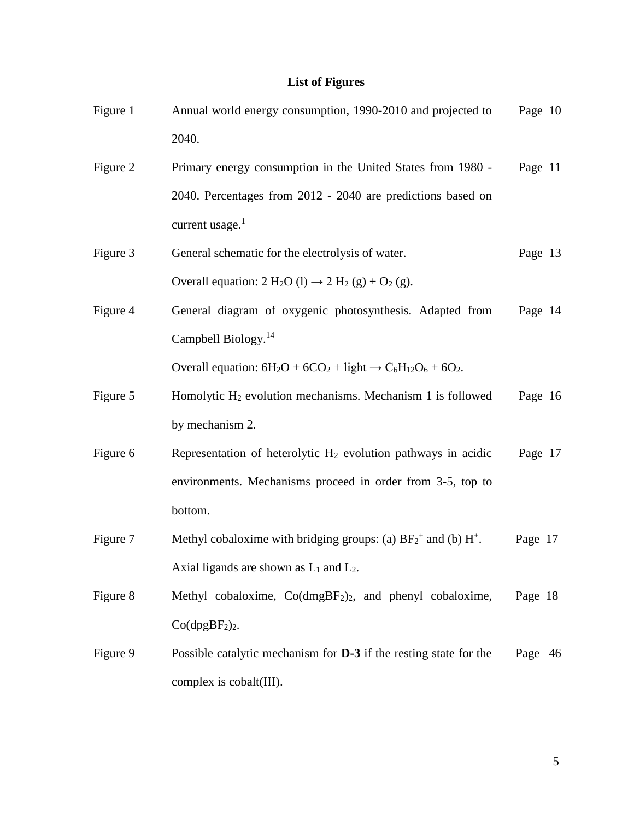### **List of Figures**

| Figure 1 | Annual world energy consumption, 1990-2010 and projected to | Page 10 |
|----------|-------------------------------------------------------------|---------|
|          | 2040.                                                       |         |

- Figure 2 Primary energy consumption in the United States from 1980 2040. Percentages from 2012 - 2040 are predictions based on current usage. $<sup>1</sup>$ </sup> Page 11
- Figure 3 General schematic for the electrolysis of water. Overall equation:  $2 \text{ H}_2\text{O}$  (l)  $\rightarrow 2 \text{ H}_2$  (g) + O<sub>2</sub> (g). Page 13
- Figure 4 General diagram of oxygenic photosynthesis. Adapted from Campbell Biology.<sup>14</sup> Page 14

Overall equation:  $6H_2O + 6CO_2 + light \rightarrow C_6H_12O_6 + 6O_2$ .

- Figure 5 Homolytic H<sub>2</sub> evolution mechanisms. Mechanism 1 is followed by mechanism 2. Page 16
- Figure 6 Representation of heterolytic  $H_2$  evolution pathways in acidic environments. Mechanisms proceed in order from 3-5, top to bottom. Page 17
- Figure 7 Methyl cobaloxime with bridging groups: (a)  $BF_2^+$  and (b)  $H^+$ . Axial ligands are shown as  $L_1$  and  $L_2$ . Page 17
- Figure 8 Methyl cobaloxime, Co(dmgBF<sub>2</sub>)<sub>2</sub>, and phenyl cobaloxime,  $Co(dpgBF<sub>2</sub>)<sub>2</sub>$ . Page 18
- Figure 9 Possible catalytic mechanism for **D-3** if the resting state for the complex is cobalt(III). Page 46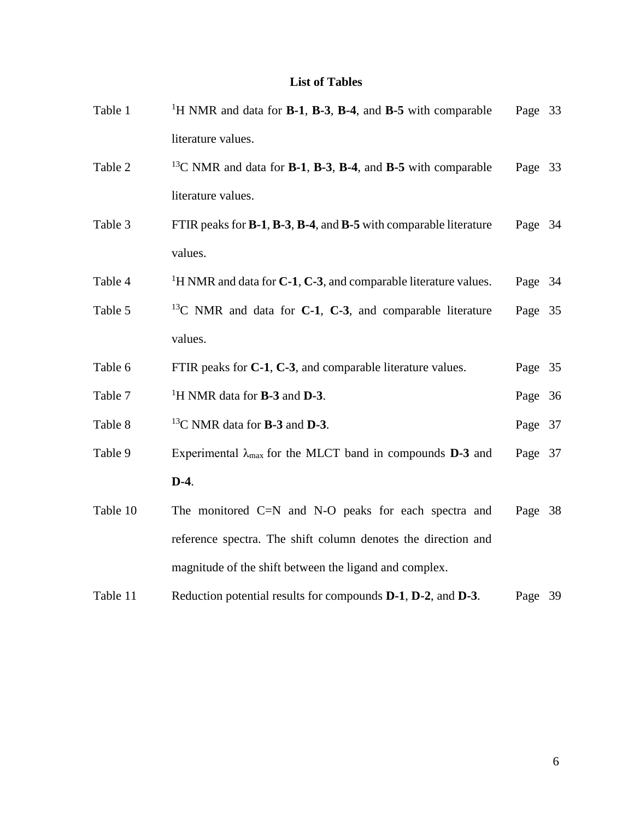# **List of Tables**

| Table 1  | <sup>1</sup> H NMR and data for <b>B-1</b> , <b>B-3</b> , <b>B-4</b> , and <b>B-5</b> with comparable  | Page 33 |  |
|----------|--------------------------------------------------------------------------------------------------------|---------|--|
|          | literature values.                                                                                     |         |  |
| Table 2  | <sup>13</sup> C NMR and data for <b>B-1</b> , <b>B-3</b> , <b>B-4</b> , and <b>B-5</b> with comparable | Page 33 |  |
|          | literature values.                                                                                     |         |  |
| Table 3  | FTIR peaks for <b>B-1, B-3, B-4,</b> and <b>B-5</b> with comparable literature                         | Page 34 |  |
|          | values.                                                                                                |         |  |
| Table 4  | <sup>1</sup> H NMR and data for <b>C-1</b> , <b>C-3</b> , and comparable literature values.            | Page 34 |  |
| Table 5  | <sup>13</sup> C NMR and data for <b>C-1</b> , <b>C-3</b> , and comparable literature                   | Page 35 |  |
|          | values.                                                                                                |         |  |
| Table 6  | FTIR peaks for C-1, C-3, and comparable literature values.                                             | Page 35 |  |
| Table 7  | <sup>1</sup> H NMR data for <b>B-3</b> and <b>D-3</b> .                                                | Page 36 |  |
| Table 8  | $^{13}$ C NMR data for <b>B-3</b> and <b>D-3</b> .                                                     | Page 37 |  |
| Table 9  | Experimental $\lambda_{\text{max}}$ for the MLCT band in compounds <b>D-3</b> and                      | Page 37 |  |
|          | $D-4.$                                                                                                 |         |  |
| Table 10 | The monitored $C=N$ and $N-O$ peaks for each spectra and                                               | Page 38 |  |
|          | reference spectra. The shift column denotes the direction and                                          |         |  |
|          | magnitude of the shift between the ligand and complex.                                                 |         |  |
| Table 11 | Reduction potential results for compounds D-1, D-2, and D-3.                                           | Page 39 |  |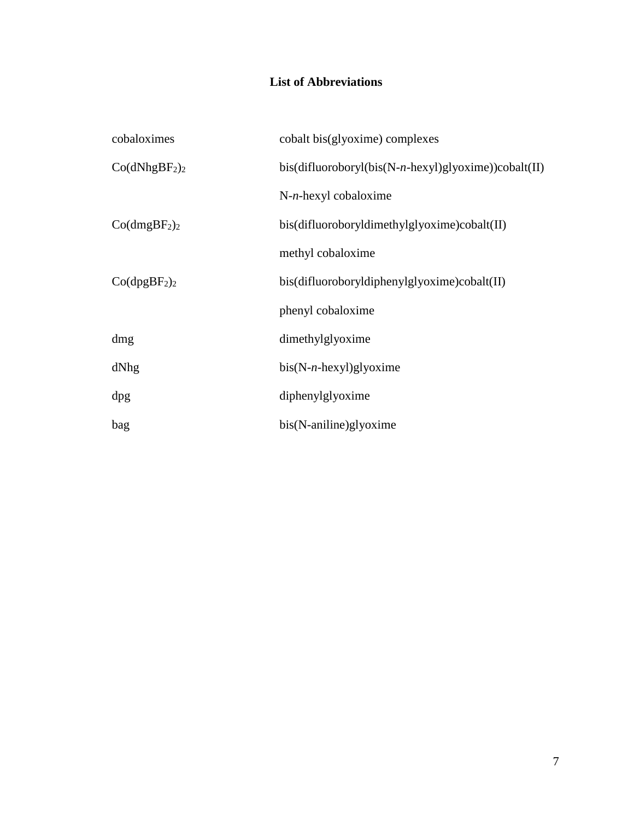# **List of Abbreviations**

| cobaloximes                           | cobalt bis(glyoxime) complexes                          |
|---------------------------------------|---------------------------------------------------------|
| Co(dNhgBF <sub>2</sub> ) <sub>2</sub> | $bis(difluoroboryl(bis(N-n-hexyl)glyoxime)) cobalt(II)$ |
|                                       | $N-n$ -hexyl cobaloxime                                 |
| Co(dmgBF <sub>2</sub> ) <sub>2</sub>  | bis(difluoroboryldimethylglyoxime)cobalt(II)            |
|                                       | methyl cobaloxime                                       |
| Co(dpgBF <sub>2</sub> ) <sub>2</sub>  | bis(difluoroboryldiphenylglyoxime)cobalt(II)            |
|                                       | phenyl cobaloxime                                       |
| dmg                                   | dimethylglyoxime                                        |
| dNhg                                  | $bis(N-n-hexyl)glyoxime$                                |
| dpg                                   | diphenylglyoxime                                        |
| bag                                   | bis(N-aniline)glyoxime                                  |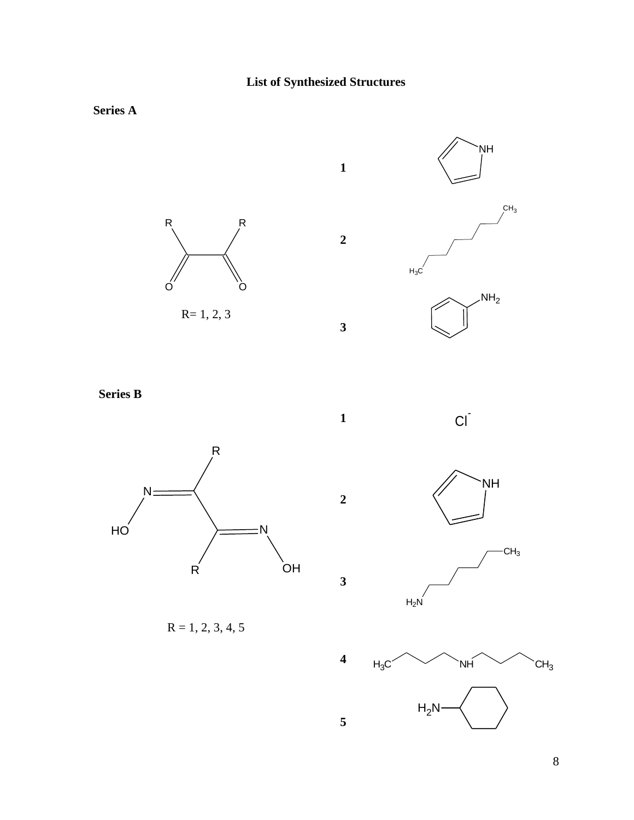**1**

**2**

**3**







**Series B**



 $R = 1, 2, 3, 4, 5$ 

**1**  $Ci$ 



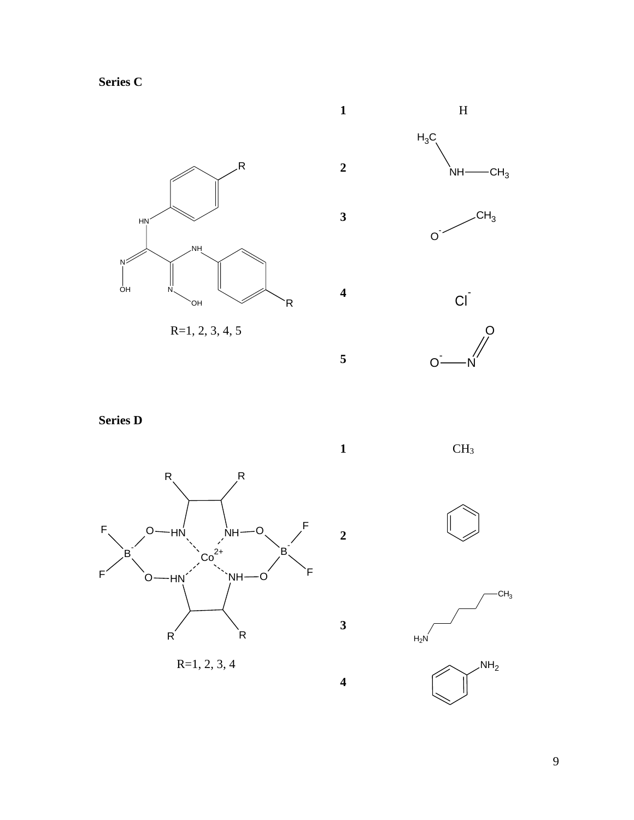**Series C**





**Series D**



**1** CH<sup>3</sup>

**2**

**3**

**4**





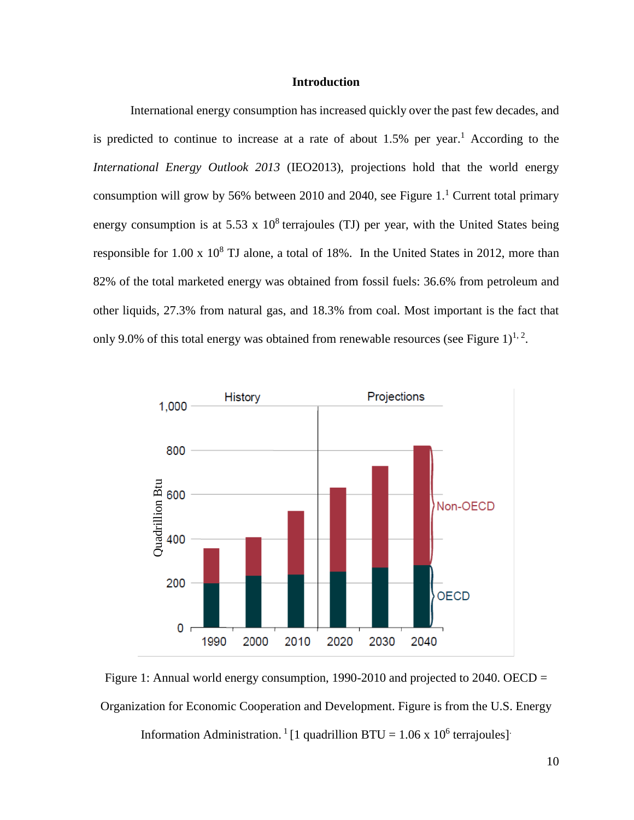# **Introduction**

International energy consumption has increased quickly over the past few decades, and is predicted to continue to increase at a rate of about 1.5% per year. <sup>1</sup> According to the *International Energy Outlook 2013* (IEO2013), projections hold that the world energy consumption will grow by 56% between 2010 and 2040, see Figure  $1<sup>1</sup>$  Current total primary energy consumption is at 5.53 x  $10^8$  terrajoules (TJ) per year, with the United States being responsible for 1.00 x  $10^8$  TJ alone, a total of 18%. In the United States in 2012, more than 82% of the total marketed energy was obtained from fossil fuels: 36.6% from petroleum and other liquids, 27.3% from natural gas, and 18.3% from coal. Most important is the fact that only 9.0% of this total energy was obtained from renewable resources (see Figure 1)<sup>1, 2</sup>.



Figure 1: Annual world energy consumption, 1990-2010 and projected to 2040. OECD = Organization for Economic Cooperation and Development. Figure is from the U.S. Energy Information Administration.<sup>1</sup> [1 quadrillion BTU =  $1.06 \times 10^6$  terrajoules]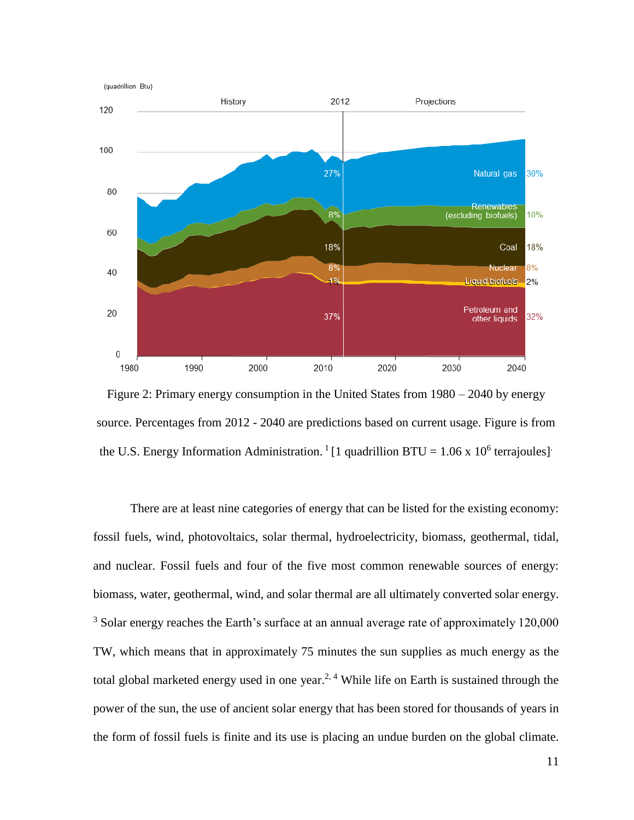

Figure 2: Primary energy consumption in the United States from 1980 – 2040 by energy source. Percentages from 2012 - 2040 are predictions based on current usage. Figure is from the U.S. Energy Information Administration.<sup>1</sup> [1 quadrillion BTU =  $1.06 \times 10^6$  terrajoules]

There are at least nine categories of energy that can be listed for the existing economy: fossil fuels, wind, photovoltaics, solar thermal, hydroelectricity, biomass, geothermal, tidal, and nuclear. Fossil fuels and four of the five most common renewable sources of energy: biomass, water, geothermal, wind, and solar thermal are all ultimately converted solar energy. <sup>3</sup> Solar energy reaches the Earth's surface at an annual average rate of approximately 120,000 TW, which means that in approximately 75 minutes the sun supplies as much energy as the total global marketed energy used in one year.<sup>2, 4</sup> While life on Earth is sustained through the power of the sun, the use of ancient solar energy that has been stored for thousands of years in the form of fossil fuels is finite and its use is placing an undue burden on the global climate.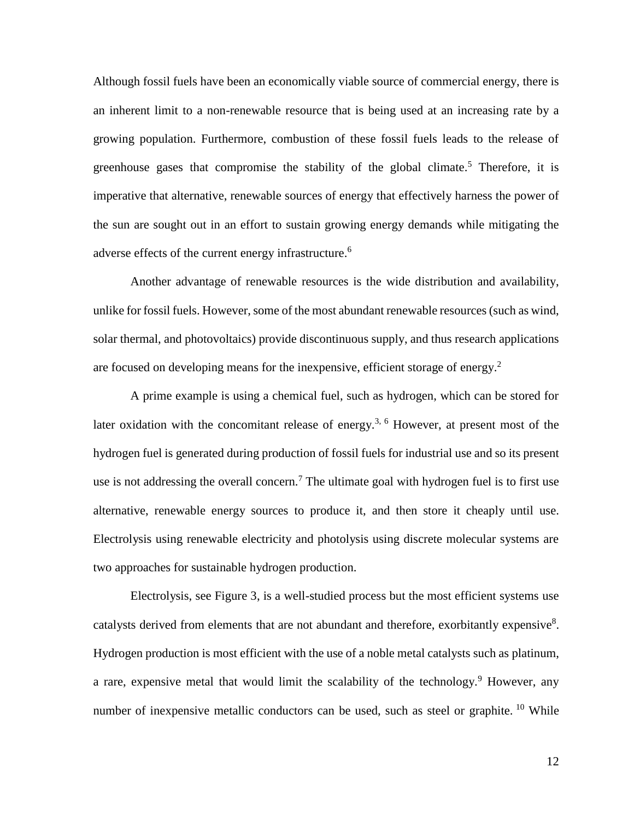Although fossil fuels have been an economically viable source of commercial energy, there is an inherent limit to a non-renewable resource that is being used at an increasing rate by a growing population. Furthermore, combustion of these fossil fuels leads to the release of greenhouse gases that compromise the stability of the global climate.<sup>5</sup> Therefore, it is imperative that alternative, renewable sources of energy that effectively harness the power of the sun are sought out in an effort to sustain growing energy demands while mitigating the adverse effects of the current energy infrastructure.<sup>6</sup>

Another advantage of renewable resources is the wide distribution and availability, unlike for fossil fuels. However, some of the most abundant renewable resources (such as wind, solar thermal, and photovoltaics) provide discontinuous supply, and thus research applications are focused on developing means for the inexpensive, efficient storage of energy.<sup>2</sup>

A prime example is using a chemical fuel, such as hydrogen, which can be stored for later oxidation with the concomitant release of energy.<sup>3, 6</sup> However, at present most of the hydrogen fuel is generated during production of fossil fuels for industrial use and so its present use is not addressing the overall concern.<sup>7</sup> The ultimate goal with hydrogen fuel is to first use alternative, renewable energy sources to produce it, and then store it cheaply until use. Electrolysis using renewable electricity and photolysis using discrete molecular systems are two approaches for sustainable hydrogen production.

Electrolysis, see Figure 3, is a well-studied process but the most efficient systems use catalysts derived from elements that are not abundant and therefore, exorbitantly expensive<sup>8</sup>. Hydrogen production is most efficient with the use of a noble metal catalysts such as platinum, a rare, expensive metal that would limit the scalability of the technology.<sup>9</sup> However, any number of inexpensive metallic conductors can be used, such as steel or graphite. <sup>10</sup> While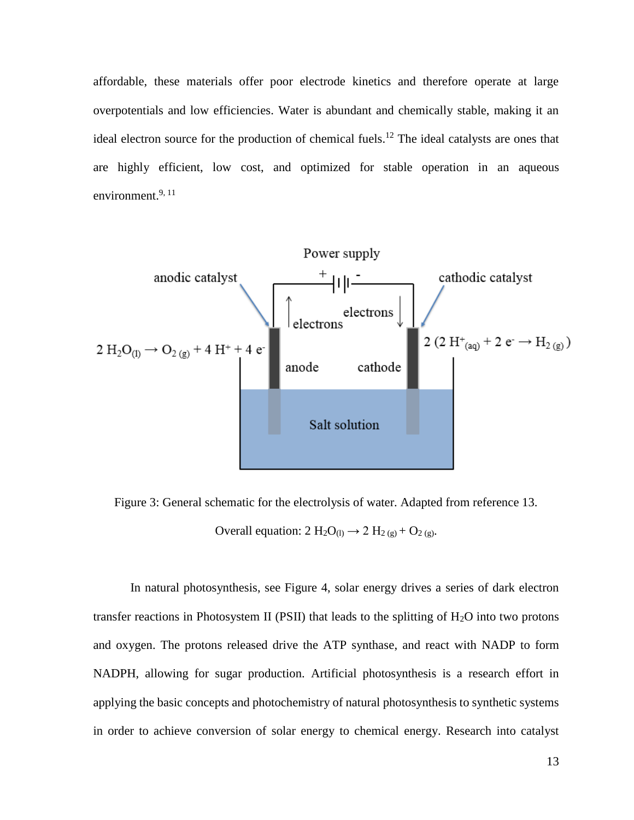affordable, these materials offer poor electrode kinetics and therefore operate at large overpotentials and low efficiencies. Water is abundant and chemically stable, making it an ideal electron source for the production of chemical fuels.<sup>12</sup> The ideal catalysts are ones that are highly efficient, low cost, and optimized for stable operation in an aqueous environment.<sup>9, 11</sup>



Figure 3: General schematic for the electrolysis of water. Adapted from reference 13. Overall equation:  $2 \text{H}_2\text{O}_{(1)} \rightarrow 2 \text{H}_{2(g)} + \text{O}_{2(g)}$ .

In natural photosynthesis, see Figure 4, solar energy drives a series of dark electron transfer reactions in Photosystem II (PSII) that leads to the splitting of  $H_2O$  into two protons and oxygen. The protons released drive the ATP synthase, and react with NADP to form NADPH, allowing for sugar production. Artificial photosynthesis is a research effort in applying the basic concepts and photochemistry of natural photosynthesis to synthetic systems in order to achieve conversion of solar energy to chemical energy. Research into catalyst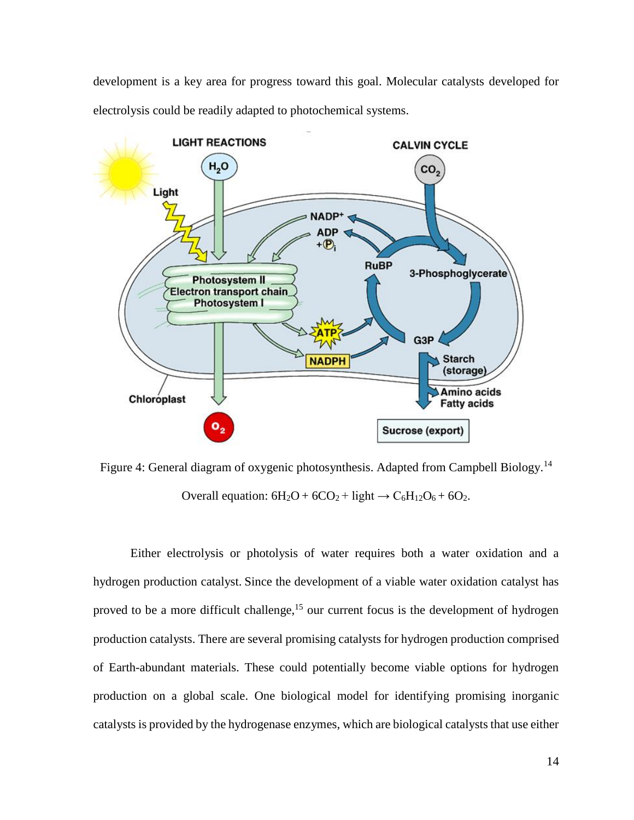development is a key area for progress toward this goal. Molecular catalysts developed for electrolysis could be readily adapted to photochemical systems.



Figure 4: General diagram of oxygenic photosynthesis. Adapted from Campbell Biology.<sup>14</sup> Overall equation:  $6H_2O + 6CO_2 + light \rightarrow C_6H_{12}O_6 + 6O_2$ .

Either electrolysis or photolysis of water requires both a water oxidation and a hydrogen production catalyst. Since the development of a viable water oxidation catalyst has proved to be a more difficult challenge,<sup>15</sup> our current focus is the development of hydrogen production catalysts. There are several promising catalysts for hydrogen production comprised of Earth-abundant materials. These could potentially become viable options for hydrogen production on a global scale. One biological model for identifying promising inorganic catalysts is provided by the hydrogenase enzymes, which are biological catalysts that use either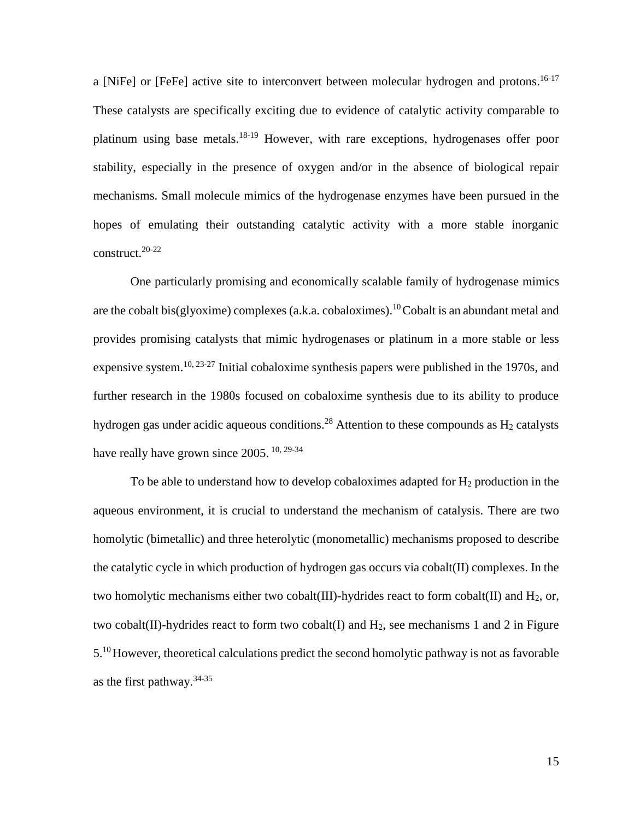a [NiFe] or [FeFe] active site to interconvert between molecular hydrogen and protons.<sup>16-17</sup> These catalysts are specifically exciting due to evidence of catalytic activity comparable to platinum using base metals.<sup>18-19</sup> However, with rare exceptions, hydrogenases offer poor stability, especially in the presence of oxygen and/or in the absence of biological repair mechanisms. Small molecule mimics of the hydrogenase enzymes have been pursued in the hopes of emulating their outstanding catalytic activity with a more stable inorganic construct.20-22

One particularly promising and economically scalable family of hydrogenase mimics are the cobalt bis(glyoxime) complexes (a.k.a. cobaloximes).<sup>10</sup> Cobalt is an abundant metal and provides promising catalysts that mimic hydrogenases or platinum in a more stable or less expensive system.<sup>10, 23-27</sup> Initial cobaloxime synthesis papers were published in the 1970s, and further research in the 1980s focused on cobaloxime synthesis due to its ability to produce hydrogen gas under acidic aqueous conditions.<sup>28</sup> Attention to these compounds as  $H_2$  catalysts have really have grown since  $2005$ .  $^{10, 29-34}$ 

To be able to understand how to develop cobaloximes adapted for  $H_2$  production in the aqueous environment, it is crucial to understand the mechanism of catalysis. There are two homolytic (bimetallic) and three heterolytic (monometallic) mechanisms proposed to describe the catalytic cycle in which production of hydrogen gas occurs via cobalt(II) complexes. In the two homolytic mechanisms either two cobalt(III)-hydrides react to form cobalt(II) and  $H_2$ , or, two cobalt(II)-hydrides react to form two cobalt(I) and  $H_2$ , see mechanisms 1 and 2 in Figure 5.<sup>10</sup> However, theoretical calculations predict the second homolytic pathway is not as favorable as the first pathway.  $34-35$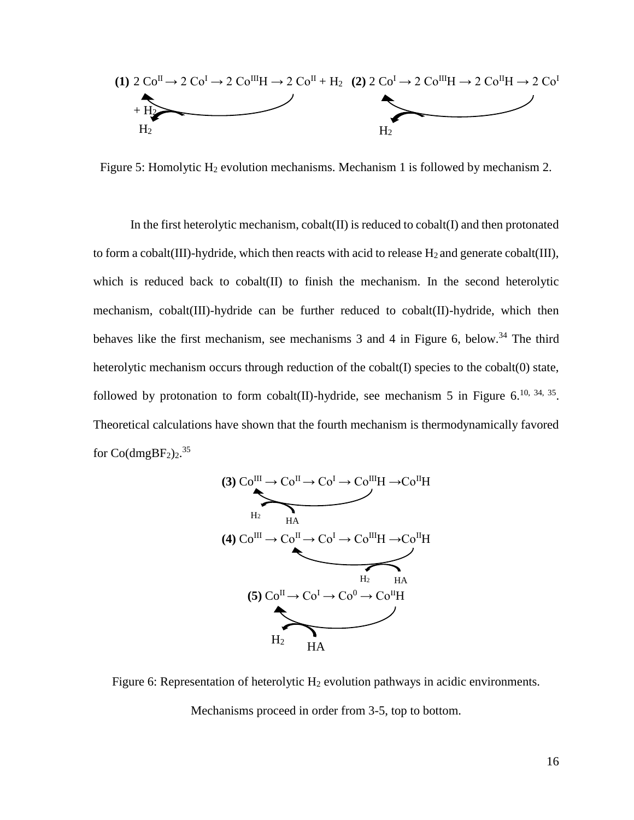

Figure 5: Homolytic H<sub>2</sub> evolution mechanisms. Mechanism 1 is followed by mechanism 2.

In the first heterolytic mechanism,  $\text{cobalt}(\Pi)$  is reduced to  $\text{cobalt}(\Pi)$  and then protonated to form a cobalt(III)-hydride, which then reacts with acid to release  $H_2$  and generate cobalt(III), which is reduced back to cobalt(II) to finish the mechanism. In the second heterolytic mechanism, cobalt(III)-hydride can be further reduced to cobalt(II)-hydride, which then behaves like the first mechanism, see mechanisms  $3$  and  $4$  in Figure 6, below.<sup>34</sup> The third heterolytic mechanism occurs through reduction of the cobalt(I) species to the cobalt(0) state, followed by protonation to form cobalt(II)-hydride, see mechanism 5 in Figure 6.<sup>10, 34, 35</sup>. Theoretical calculations have shown that the fourth mechanism is thermodynamically favored for  $Co(dmgBF<sub>2</sub>)<sub>2</sub>$ .<sup>35</sup>



Figure 6: Representation of heterolytic  $H_2$  evolution pathways in acidic environments.

Mechanisms proceed in order from 3-5, top to bottom.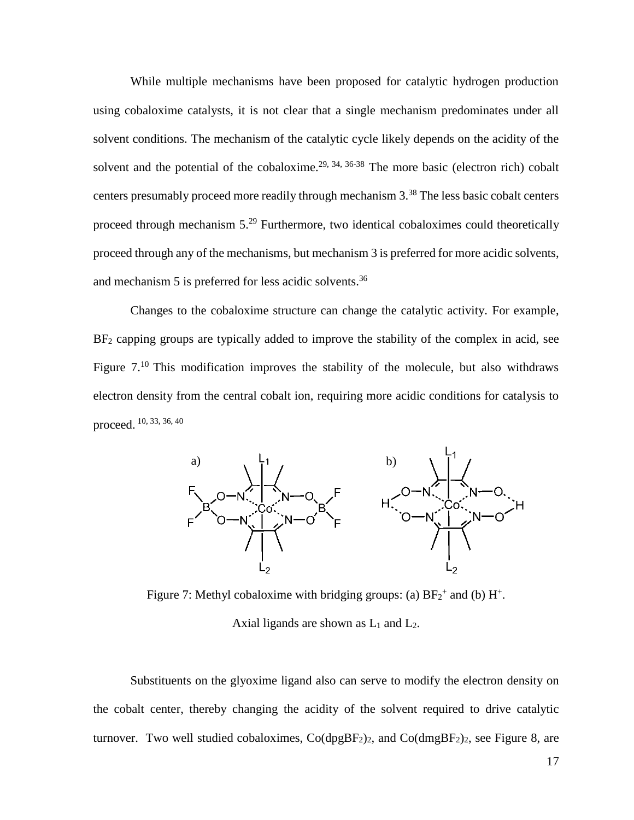While multiple mechanisms have been proposed for catalytic hydrogen production using cobaloxime catalysts, it is not clear that a single mechanism predominates under all solvent conditions. The mechanism of the catalytic cycle likely depends on the acidity of the solvent and the potential of the cobaloxime.<sup>29, 34, 36-38</sup> The more basic (electron rich) cobalt centers presumably proceed more readily through mechanism 3. <sup>38</sup> The less basic cobalt centers proceed through mechanism 5.<sup>29</sup> Furthermore, two identical cobaloximes could theoretically proceed through any of the mechanisms, but mechanism 3 is preferred for more acidic solvents, and mechanism 5 is preferred for less acidic solvents.<sup>36</sup>

Changes to the cobaloxime structure can change the catalytic activity. For example,  $BF<sub>2</sub>$  capping groups are typically added to improve the stability of the complex in acid, see Figure 7.<sup>10</sup> This modification improves the stability of the molecule, but also withdraws electron density from the central cobalt ion, requiring more acidic conditions for catalysis to proceed. 10, 33, 36, 40



Figure 7: Methyl cobaloxime with bridging groups: (a)  $BF_2^+$  and (b)  $H^+$ . Axial ligands are shown as  $L_1$  and  $L_2$ .

Substituents on the glyoxime ligand also can serve to modify the electron density on the cobalt center, thereby changing the acidity of the solvent required to drive catalytic turnover. Two well studied cobaloximes,  $Co(dpgBF<sub>2</sub>)<sub>2</sub>$ , and  $Co(dmgBF<sub>2</sub>)<sub>2</sub>$ , see Figure 8, are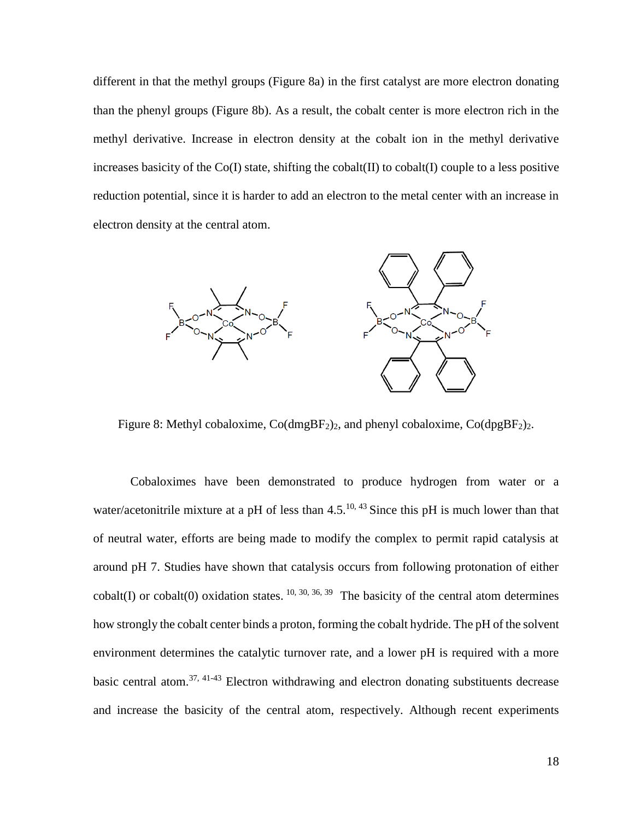different in that the methyl groups (Figure 8a) in the first catalyst are more electron donating than the phenyl groups (Figure 8b). As a result, the cobalt center is more electron rich in the methyl derivative. Increase in electron density at the cobalt ion in the methyl derivative increases basicity of the  $Co(I)$  state, shifting the cobalt(II) to cobalt(I) couple to a less positive reduction potential, since it is harder to add an electron to the metal center with an increase in electron density at the central atom.



Figure 8: Methyl cobaloxime,  $Co(dmgBF<sub>2</sub>)<sub>2</sub>$ , and phenyl cobaloxime,  $Co(dpgBF<sub>2</sub>)<sub>2</sub>$ .

Cobaloximes have been demonstrated to produce hydrogen from water or a water/acetonitrile mixture at a pH of less than  $4.5^{10,43}$  Since this pH is much lower than that of neutral water, efforts are being made to modify the complex to permit rapid catalysis at around pH 7. Studies have shown that catalysis occurs from following protonation of either cobalt(I) or cobalt(0) oxidation states.  $10, 30, 36, 39$  The basicity of the central atom determines how strongly the cobalt center binds a proton, forming the cobalt hydride. The pH of the solvent environment determines the catalytic turnover rate, and a lower pH is required with a more basic central atom.<sup>37, 41-43</sup> Electron withdrawing and electron donating substituents decrease and increase the basicity of the central atom, respectively. Although recent experiments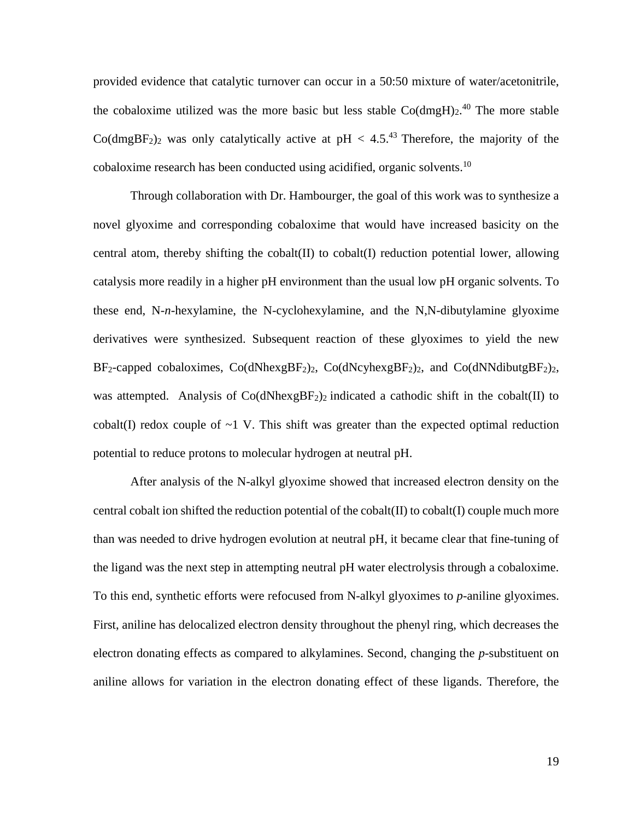provided evidence that catalytic turnover can occur in a 50:50 mixture of water/acetonitrile, the cobaloxime utilized was the more basic but less stable  $Co(dmgH)<sub>2</sub>$ .<sup>40</sup> The more stable Co(dmgBF<sub>2</sub>)<sub>2</sub> was only catalytically active at pH < 4.5<sup>43</sup> Therefore, the majority of the cobaloxime research has been conducted using acidified, organic solvents.<sup>10</sup>

Through collaboration with Dr. Hambourger, the goal of this work was to synthesize a novel glyoxime and corresponding cobaloxime that would have increased basicity on the central atom, thereby shifting the cobalt(II) to cobalt(I) reduction potential lower, allowing catalysis more readily in a higher pH environment than the usual low pH organic solvents. To these end, N-*n*-hexylamine, the N-cyclohexylamine, and the N,N-dibutylamine glyoxime derivatives were synthesized. Subsequent reaction of these glyoximes to yield the new  $BF_2$ -capped cobaloximes,  $Co(dNhexgBF_2)_2$ ,  $Co(dNcyhexgBF_2)_2$ , and  $Co(dNNdibutgBF_2)_2$ , was attempted. Analysis of  $Co(dNhexgBF<sub>2</sub>)<sub>2</sub>$  indicated a cathodic shift in the cobalt(II) to cobalt(I) redox couple of  $\sim$ 1 V. This shift was greater than the expected optimal reduction potential to reduce protons to molecular hydrogen at neutral pH.

After analysis of the N-alkyl glyoxime showed that increased electron density on the central cobalt ion shifted the reduction potential of the cobalt $(II)$  to cobalt $(I)$  couple much more than was needed to drive hydrogen evolution at neutral pH, it became clear that fine-tuning of the ligand was the next step in attempting neutral pH water electrolysis through a cobaloxime. To this end, synthetic efforts were refocused from N-alkyl glyoximes to *p*-aniline glyoximes. First, aniline has delocalized electron density throughout the phenyl ring, which decreases the electron donating effects as compared to alkylamines. Second, changing the *p*-substituent on aniline allows for variation in the electron donating effect of these ligands. Therefore, the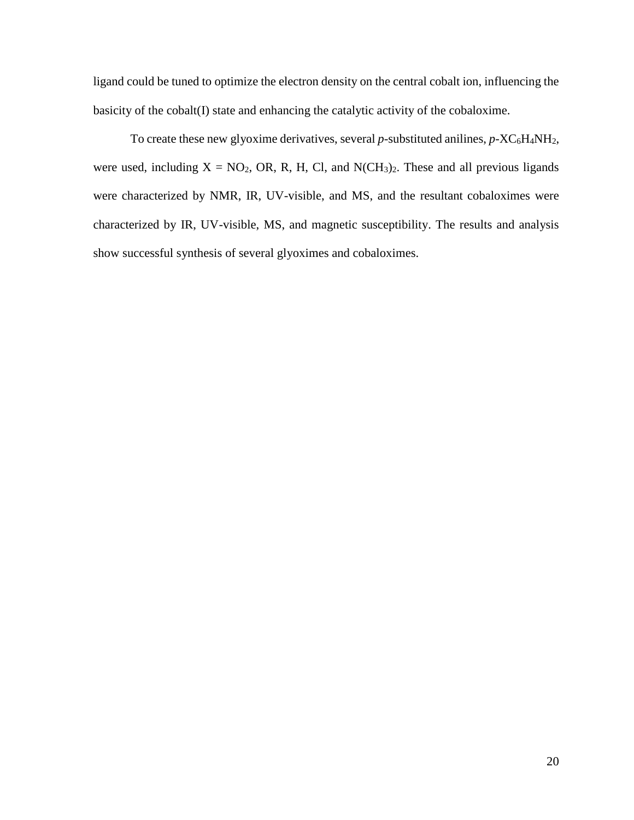ligand could be tuned to optimize the electron density on the central cobalt ion, influencing the basicity of the cobalt(I) state and enhancing the catalytic activity of the cobaloxime.

To create these new glyoxime derivatives, several  $p$ -substituted anilines,  $p$ -XC<sub>6</sub>H<sub>4</sub>NH<sub>2</sub>, were used, including  $X = NO_2$ , OR, R, H, Cl, and N(CH<sub>3</sub>)<sub>2</sub>. These and all previous ligands were characterized by NMR, IR, UV-visible, and MS, and the resultant cobaloximes were characterized by IR, UV-visible, MS, and magnetic susceptibility. The results and analysis show successful synthesis of several glyoximes and cobaloximes.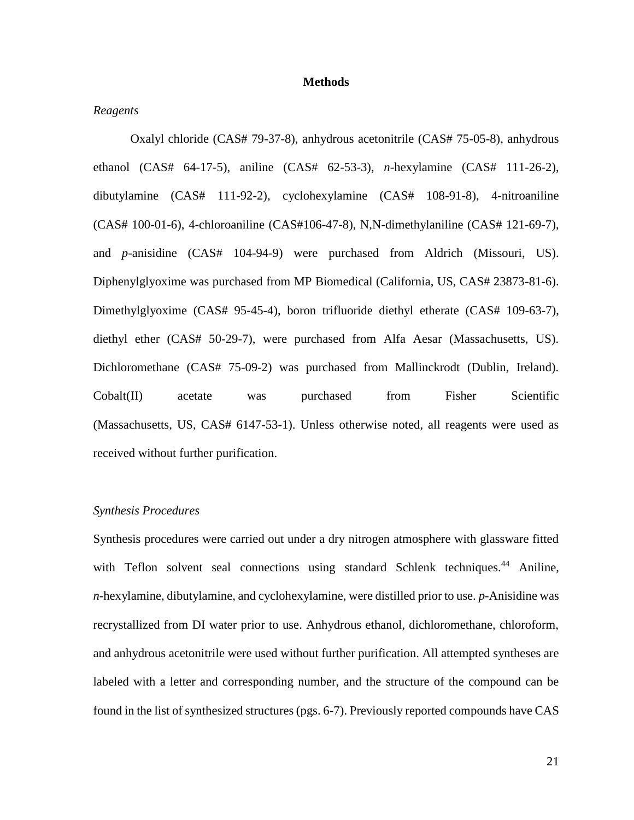#### **Methods**

### *Reagents*

Oxalyl chloride (CAS# 79-37-8), anhydrous acetonitrile (CAS# 75-05-8), anhydrous ethanol (CAS# 64-17-5), aniline (CAS# 62-53-3), *n*-hexylamine (CAS# 111-26-2), dibutylamine (CAS# 111-92-2), cyclohexylamine (CAS# 108-91-8), 4-nitroaniline (CAS# 100-01-6), 4-chloroaniline (CAS#106-47-8), N,N-dimethylaniline (CAS# 121-69-7), and *p*-anisidine (CAS# 104-94-9) were purchased from Aldrich (Missouri, US). Diphenylglyoxime was purchased from MP Biomedical (California, US, CAS# 23873-81-6). Dimethylglyoxime (CAS# 95-45-4), boron trifluoride diethyl etherate (CAS# 109-63-7), diethyl ether (CAS# 50-29-7), were purchased from Alfa Aesar (Massachusetts, US). Dichloromethane (CAS# 75-09-2) was purchased from Mallinckrodt (Dublin, Ireland). Cobalt(II) acetate was purchased from Fisher Scientific (Massachusetts, US, CAS# 6147-53-1). Unless otherwise noted, all reagents were used as received without further purification.

# *Synthesis Procedures*

Synthesis procedures were carried out under a dry nitrogen atmosphere with glassware fitted with Teflon solvent seal connections using standard Schlenk techniques.<sup>44</sup> Aniline, *n*-hexylamine, dibutylamine, and cyclohexylamine, were distilled prior to use. *p*-Anisidine was recrystallized from DI water prior to use. Anhydrous ethanol, dichloromethane, chloroform, and anhydrous acetonitrile were used without further purification. All attempted syntheses are labeled with a letter and corresponding number, and the structure of the compound can be found in the list of synthesized structures (pgs. 6-7). Previously reported compounds have CAS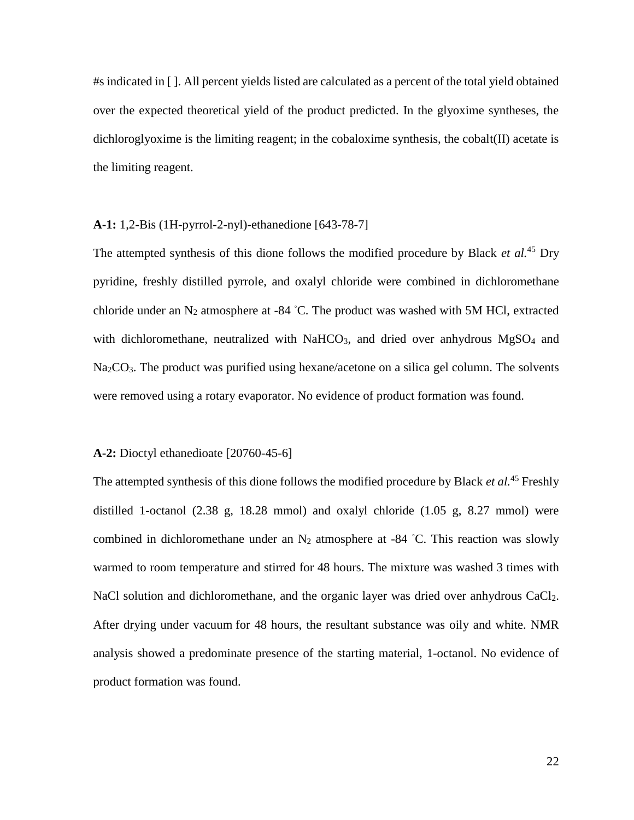#s indicated in [ ]. All percent yields listed are calculated as a percent of the total yield obtained over the expected theoretical yield of the product predicted. In the glyoxime syntheses, the dichloroglyoxime is the limiting reagent; in the cobaloxime synthesis, the cobalt(II) acetate is the limiting reagent.

### **A-1:** 1,2-Bis (1H-pyrrol-2-nyl)-ethanedione [643-78-7]

The attempted synthesis of this dione follows the modified procedure by Black *et al.*<sup>45</sup> Dry pyridine, freshly distilled pyrrole, and oxalyl chloride were combined in dichloromethane chloride under an  $N_2$  atmosphere at -84 °C. The product was washed with 5M HCl, extracted with dichloromethane, neutralized with NaHCO<sub>3</sub>, and dried over anhydrous  $MgSO<sub>4</sub>$  and Na<sub>2</sub>CO<sub>3</sub>. The product was purified using hexane/acetone on a silica gel column. The solvents were removed using a rotary evaporator. No evidence of product formation was found.

### **A-2:** Dioctyl ethanedioate [20760-45-6]

The attempted synthesis of this dione follows the modified procedure by Black *et al.*<sup>45</sup> Freshly distilled 1-octanol (2.38 g, 18.28 mmol) and oxalyl chloride (1.05 g, 8.27 mmol) were combined in dichloromethane under an  $N_2$  atmosphere at -84 °C. This reaction was slowly warmed to room temperature and stirred for 48 hours. The mixture was washed 3 times with NaCl solution and dichloromethane, and the organic layer was dried over anhydrous CaCl<sub>2</sub>. After drying under vacuum for 48 hours, the resultant substance was oily and white. NMR analysis showed a predominate presence of the starting material, 1-octanol. No evidence of product formation was found.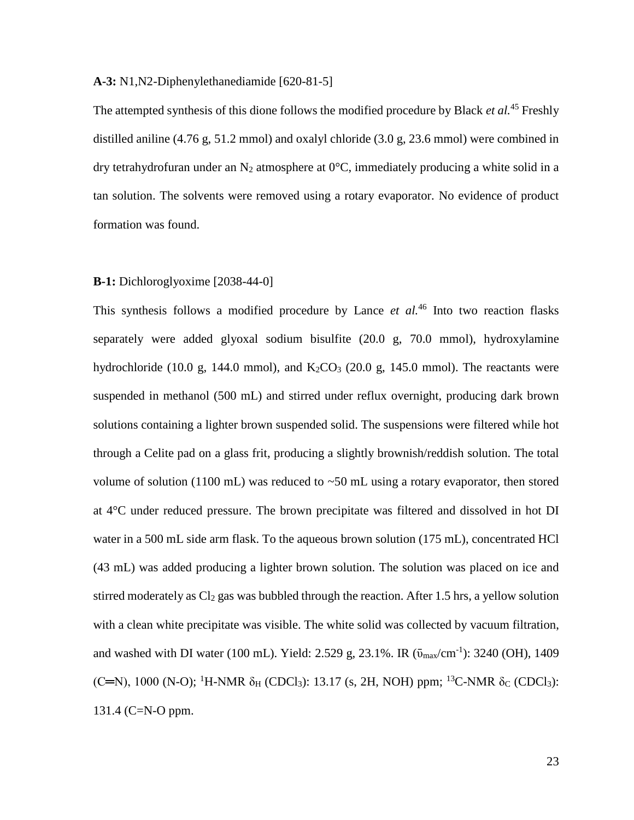**A-3:** N1,N2-Diphenylethanediamide [620-81-5]

The attempted synthesis of this dione follows the modified procedure by Black *et al.*<sup>45</sup> Freshly distilled aniline (4.76 g, 51.2 mmol) and oxalyl chloride (3.0 g, 23.6 mmol) were combined in dry tetrahydrofuran under an N<sub>2</sub> atmosphere at  $0^{\circ}$ C, immediately producing a white solid in a tan solution. The solvents were removed using a rotary evaporator. No evidence of product formation was found.

### **B-1:** Dichloroglyoxime [2038-44-0]

This synthesis follows a modified procedure by Lance *et al.*<sup>46</sup> Into two reaction flasks separately were added glyoxal sodium bisulfite (20.0 g, 70.0 mmol), hydroxylamine hydrochloride (10.0 g, 144.0 mmol), and  $K_2CO_3$  (20.0 g, 145.0 mmol). The reactants were suspended in methanol (500 mL) and stirred under reflux overnight, producing dark brown solutions containing a lighter brown suspended solid. The suspensions were filtered while hot through a Celite pad on a glass frit, producing a slightly brownish/reddish solution. The total volume of solution (1100 mL) was reduced to  $\sim$ 50 mL using a rotary evaporator, then stored at 4°C under reduced pressure. The brown precipitate was filtered and dissolved in hot DI water in a 500 mL side arm flask. To the aqueous brown solution (175 mL), concentrated HCl (43 mL) was added producing a lighter brown solution. The solution was placed on ice and stirred moderately as  $Cl<sub>2</sub>$  gas was bubbled through the reaction. After 1.5 hrs, a yellow solution with a clean white precipitate was visible. The white solid was collected by vacuum filtration, and washed with DI water (100 mL). Yield: 2.529 g, 23.1%. IR  $(\bar{v}_{max}/cm^{-1})$ : 3240 (OH), 1409 (C=N), 1000 (N-O); <sup>1</sup>H-NMR δ<sub>H</sub> (CDCl<sub>3</sub>): 13.17 (s, 2H, NOH) ppm; <sup>13</sup>C-NMR δ<sub>C</sub> (CDCl<sub>3</sub>): 131.4 (C=N-O ppm.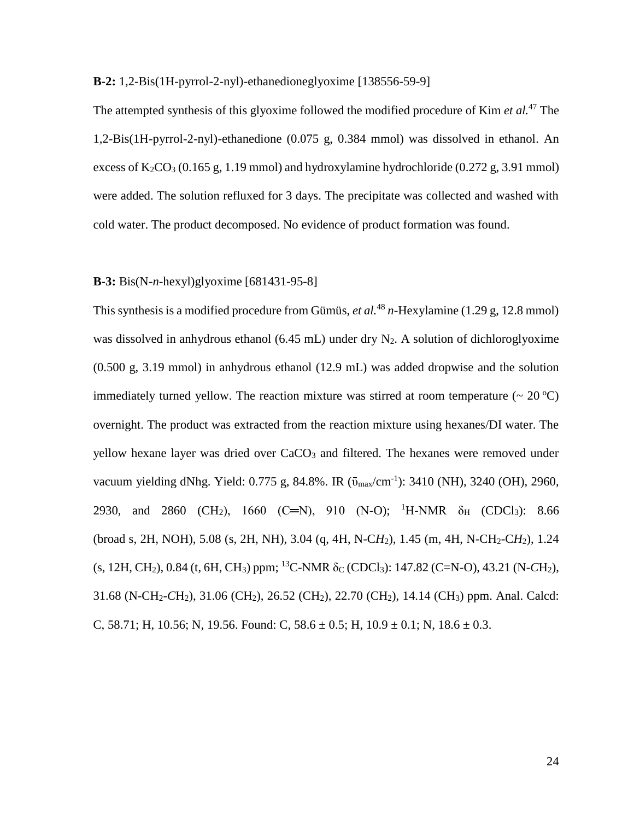**B-2:** 1,2-Bis(1H-pyrrol-2-nyl)-ethanedioneglyoxime [138556-59-9]

The attempted synthesis of this glyoxime followed the modified procedure of Kim *et al.*<sup>47</sup> The 1,2-Bis(1H-pyrrol-2-nyl)-ethanedione (0.075 g, 0.384 mmol) was dissolved in ethanol. An excess of  $K_2CO_3$  (0.165 g, 1.19 mmol) and hydroxylamine hydrochloride (0.272 g, 3.91 mmol) were added. The solution refluxed for 3 days. The precipitate was collected and washed with cold water. The product decomposed. No evidence of product formation was found.

### **B-3:** Bis(N-*n*-hexyl)glyoxime [681431-95-8]

This synthesis is a modified procedure from Gümüs, *et al.*<sup>48</sup> *n*-Hexylamine (1.29 g, 12.8 mmol) was dissolved in anhydrous ethanol (6.45 mL) under dry  $N_2$ . A solution of dichlorogly oxime (0.500 g, 3.19 mmol) in anhydrous ethanol (12.9 mL) was added dropwise and the solution immediately turned yellow. The reaction mixture was stirred at room temperature  $(20^{\circ}C)$ overnight. The product was extracted from the reaction mixture using hexanes/DI water. The yellow hexane layer was dried over CaCO<sub>3</sub> and filtered. The hexanes were removed under vacuum yielding dNhg. Yield: 0.775 g, 84.8%. IR  $(\bar{v}_{max}/cm^{-1})$ : 3410 (NH), 3240 (OH), 2960, 2930, and 2860 (CH<sub>2</sub>), 1660 (C=N), 910 (N-O); <sup>1</sup>H-NMR  $\delta_H$  (CDCl<sub>3</sub>): 8.66 (broad s, 2H, NOH), 5.08 (s, 2H, NH), 3.04 (q, 4H, N-C*H*2), 1.45 (m, 4H, N-CH2-C*H*2), 1.24  $(s, 12H, CH_2)$ , 0.84 (t, 6H, CH<sub>3</sub>) ppm; <sup>13</sup>C-NMR  $\delta_c$  (CDCl<sub>3</sub>): 147.82 (C=N-O), 43.21 (N-CH<sub>2</sub>), 31.68 (N-CH2-*C*H2), 31.06 (CH2), 26.52 (CH2), 22.70 (CH2), 14.14 (CH3) ppm. Anal. Calcd: C, 58.71; H, 10.56; N, 19.56. Found: C,  $58.6 \pm 0.5$ ; H,  $10.9 \pm 0.1$ ; N,  $18.6 \pm 0.3$ .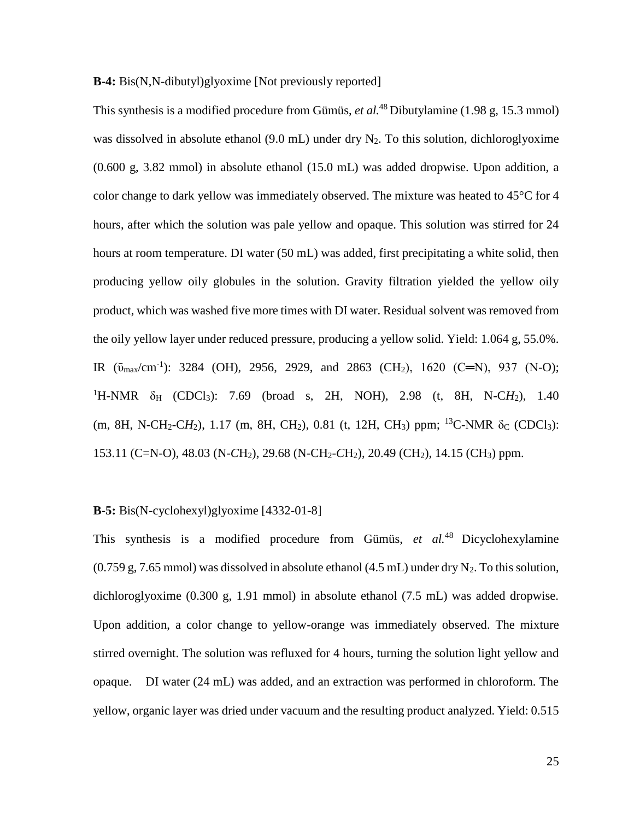### **B-4:** Bis(N,N-dibutyl)glyoxime [Not previously reported]

This synthesis is a modified procedure from Gümüs, *et al.*<sup>48</sup> Dibutylamine (1.98 g, 15.3 mmol) was dissolved in absolute ethanol  $(9.0 \text{ mL})$  under dry N<sub>2</sub>. To this solution, dichlorogly oxime (0.600 g, 3.82 mmol) in absolute ethanol (15.0 mL) was added dropwise. Upon addition, a color change to dark yellow was immediately observed. The mixture was heated to 45°C for 4 hours, after which the solution was pale yellow and opaque. This solution was stirred for 24 hours at room temperature. DI water (50 mL) was added, first precipitating a white solid, then producing yellow oily globules in the solution. Gravity filtration yielded the yellow oily product, which was washed five more times with DI water. Residual solvent was removed from the oily yellow layer under reduced pressure, producing a yellow solid. Yield: 1.064 g, 55.0%. IR  $(\bar{v}_{max}/cm^{-1})$ : 3284 (OH), 2956, 2929, and 2863 (CH<sub>2</sub>), 1620 (C=N), 937 (N-O); <sup>1</sup>H-NMR  $\delta_H$  (CDCl<sub>3</sub>): 7.69 (broad s, 2H, NOH), 2.98 (t, 8H, N-CH<sub>2</sub>), 1.40 (m, 8H, N-CH<sub>2</sub>-CH<sub>2</sub>), 1.17 (m, 8H, CH<sub>2</sub>), 0.81 (t, 12H, CH<sub>3</sub>) ppm; <sup>13</sup>C-NMR  $\delta_c$  (CDCl<sub>3</sub>): 153.11 (C=N-O), 48.03 (N-*C*H2), 29.68 (N-CH2-*C*H2), 20.49 (CH2), 14.15 (CH3) ppm.

# **B-5:** Bis(N-cyclohexyl)glyoxime [4332-01-8]

This synthesis is a modified procedure from Gümüs, *et al.*<sup>48</sup> Dicyclohexylamine  $(0.759 \text{ g}, 7.65 \text{ mmol})$  was dissolved in absolute ethanol  $(4.5 \text{ mL})$  under dry N<sub>2</sub>. To this solution, dichloroglyoxime (0.300 g, 1.91 mmol) in absolute ethanol (7.5 mL) was added dropwise. Upon addition, a color change to yellow-orange was immediately observed. The mixture stirred overnight. The solution was refluxed for 4 hours, turning the solution light yellow and opaque. DI water (24 mL) was added, and an extraction was performed in chloroform. The yellow, organic layer was dried under vacuum and the resulting product analyzed. Yield: 0.515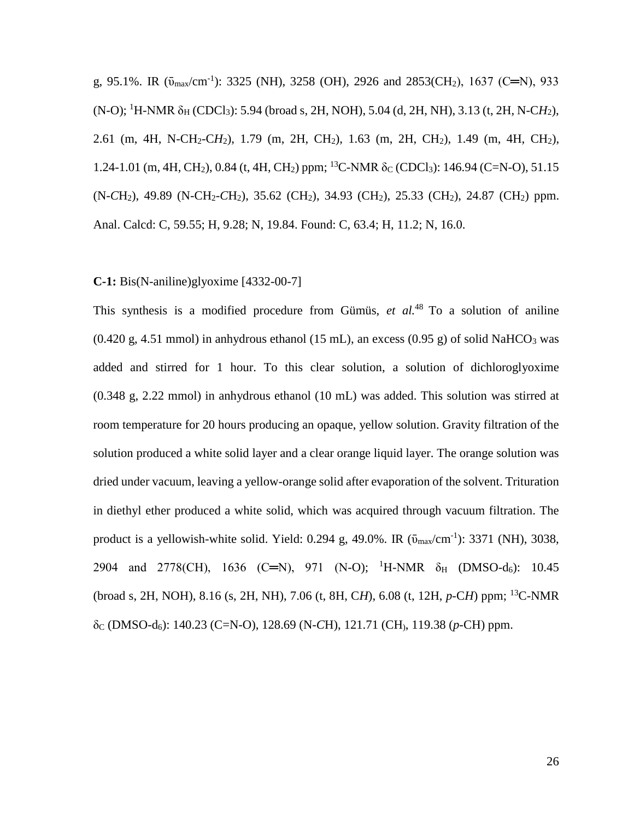g, 95.1%. IR  $(\bar{v}_{max}/cm^{-1})$ : 3325 (NH), 3258 (OH), 2926 and 2853(CH<sub>2</sub>), 1637 (C=N), 933  $(N-O)$ ; <sup>1</sup>H-NMR  $\delta_H$  (CDCl<sub>3</sub>): 5.94 (broad s, 2H, NOH), 5.04 (d, 2H, NH), 3.13 (t, 2H, N-CH<sub>2</sub>), 2.61 (m, 4H, N-CH2-C*H*2), 1.79 (m, 2H, CH2), 1.63 (m, 2H, CH2), 1.49 (m, 4H, CH2), 1.24-1.01 (m, 4H, CH<sub>2</sub>), 0.84 (t, 4H, CH<sub>2</sub>) ppm; <sup>13</sup>C-NMR δ<sub>C</sub> (CDCl<sub>3</sub>): 146.94 (C=N-O), 51.15 (N-*C*H2), 49.89 (N-CH2-*C*H2), 35.62 (CH2), 34.93 (CH2), 25.33 (CH2), 24.87 (CH2) ppm. Anal. Calcd: C, 59.55; H, 9.28; N, 19.84. Found: C, 63.4; H, 11.2; N, 16.0.

### **C-1:** Bis(N-aniline)glyoxime [4332-00-7]

This synthesis is a modified procedure from Gümüs, *et al.*<sup>48</sup> To a solution of aniline  $(0.420 \text{ g}, 4.51 \text{ mmol})$  in anhydrous ethanol  $(15 \text{ mL})$ , an excess  $(0.95 \text{ g})$  of solid NaHCO<sub>3</sub> was added and stirred for 1 hour. To this clear solution, a solution of dichloroglyoxime (0.348 g, 2.22 mmol) in anhydrous ethanol (10 mL) was added. This solution was stirred at room temperature for 20 hours producing an opaque, yellow solution. Gravity filtration of the solution produced a white solid layer and a clear orange liquid layer. The orange solution was dried under vacuum, leaving a yellow-orange solid after evaporation of the solvent. Trituration in diethyl ether produced a white solid, which was acquired through vacuum filtration. The product is a yellowish-white solid. Yield: 0.294 g, 49.0%. IR  $(\bar{v}_{max}/\text{cm}^{-1})$ : 3371 (NH), 3038, 2904 and 2778(CH), 1636 (C=N), 971 (N-O); <sup>1</sup>H-NMR  $\delta_H$  (DMSO-d<sub>6</sub>): 10.45 (broad s, 2H, NOH), 8.16 (s, 2H, NH), 7.06 (t, 8H, C*H*), 6.08 (t, 12H, *p*-C*H*) ppm; <sup>13</sup>C-NMR δ<sup>C</sup> (DMSO-d6): 140.23 (C=N-O), 128.69 (N-*C*H), 121.71 (CH), 119.38 (*p*-CH) ppm.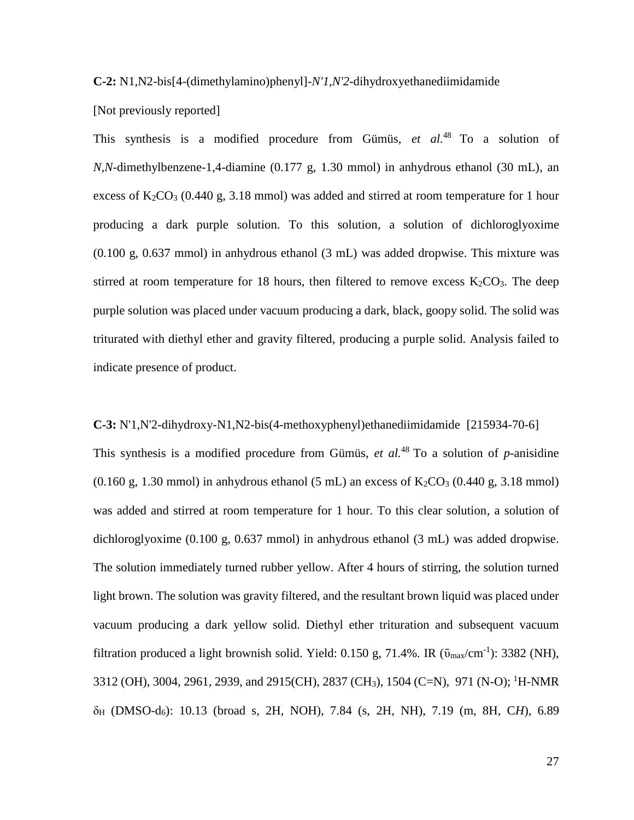**C-2:** N1,N2-bis[4-(dimethylamino)phenyl]-*N'1,N'2*-dihydroxyethanediimidamide

[Not previously reported]

This synthesis is a modified procedure from Gümüs, *et al.*<sup>48</sup> To a solution of *N,N*-dimethylbenzene-1,4-diamine (0.177 g, 1.30 mmol) in anhydrous ethanol (30 mL), an excess of  $K_2CO_3$  (0.440 g, 3.18 mmol) was added and stirred at room temperature for 1 hour producing a dark purple solution. To this solution, a solution of dichloroglyoxime (0.100 g, 0.637 mmol) in anhydrous ethanol (3 mL) was added dropwise. This mixture was stirred at room temperature for 18 hours, then filtered to remove excess  $K_2CO_3$ . The deep purple solution was placed under vacuum producing a dark, black, goopy solid. The solid was triturated with diethyl ether and gravity filtered, producing a purple solid. Analysis failed to indicate presence of product.

**C-3:** N'1,N'2-dihydroxy-N1,N2-bis(4-methoxyphenyl)ethanediimidamide [215934-70-6] This synthesis is a modified procedure from Gümüs, *et al.*<sup>48</sup> To a solution of *p*-anisidine  $(0.160 \text{ g}, 1.30 \text{ mmol})$  in anhydrous ethanol  $(5 \text{ mL})$  an excess of  $K_2CO_3$   $(0.440 \text{ g}, 3.18 \text{ mmol})$ was added and stirred at room temperature for 1 hour. To this clear solution, a solution of dichloroglyoxime (0.100 g, 0.637 mmol) in anhydrous ethanol (3 mL) was added dropwise. The solution immediately turned rubber yellow. After 4 hours of stirring, the solution turned light brown. The solution was gravity filtered, and the resultant brown liquid was placed under vacuum producing a dark yellow solid. Diethyl ether trituration and subsequent vacuum filtration produced a light brownish solid. Yield: 0.150 g, 71.4%. IR  $(\bar{v}_{max}/\text{cm}^{-1})$ : 3382 (NH), 3312 (OH), 3004, 2961, 2939, and 2915(CH), 2837 (CH3), 1504 (C=N), 971 (N-O); <sup>1</sup>H-NMR δ<sup>H</sup> (DMSO-d6): 10.13 (broad s, 2H, NOH), 7.84 (s, 2H, NH), 7.19 (m, 8H, C*H*), 6.89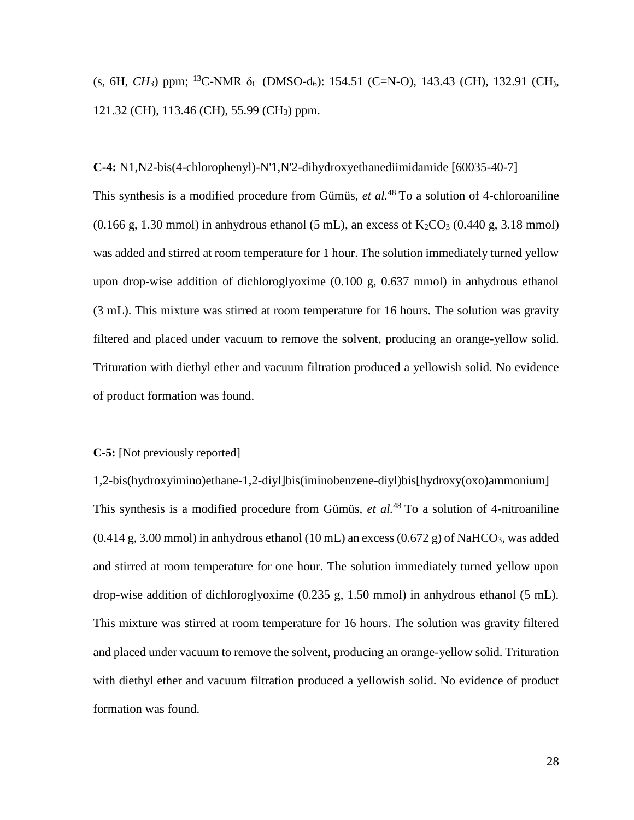(s, 6H, *CH<sub>3</sub>*) ppm; <sup>13</sup>C-NMR δ<sub>C</sub> (DMSO-d<sub>6</sub>): 154.51 (C=N-O), 143.43 (*CH*), 132.91 (*CH*), 121.32 (CH), 113.46 (CH), 55.99 (CH3) ppm.

**C-4:** N1,N2-bis(4-chlorophenyl)-N'1,N'2-dihydroxyethanediimidamide [60035-40-7] This synthesis is a modified procedure from Gümüs, *et al.*<sup>48</sup> To a solution of 4-chloroaniline  $(0.166 \text{ g}, 1.30 \text{ mmol})$  in anhydrous ethanol  $(5 \text{ mL})$ , an excess of K<sub>2</sub>CO<sub>3</sub>  $(0.440 \text{ g}, 3.18 \text{ mmol})$ was added and stirred at room temperature for 1 hour. The solution immediately turned yellow upon drop-wise addition of dichloroglyoxime (0.100 g, 0.637 mmol) in anhydrous ethanol (3 mL). This mixture was stirred at room temperature for 16 hours. The solution was gravity filtered and placed under vacuum to remove the solvent, producing an orange-yellow solid. Trituration with diethyl ether and vacuum filtration produced a yellowish solid. No evidence of product formation was found.

# **C-5:** [Not previously reported]

1,2-bis(hydroxyimino)ethane-1,2-diyl]bis(iminobenzene-diyl)bis[hydroxy(oxo)ammonium] This synthesis is a modified procedure from Gümüs, *et al.*<sup>48</sup> To a solution of 4-nitroaniline  $(0.414 \text{ g}, 3.00 \text{ mmol})$  in anhydrous ethanol  $(10 \text{ mL})$  an excess  $(0.672 \text{ g})$  of NaHCO<sub>3</sub>, was added and stirred at room temperature for one hour. The solution immediately turned yellow upon drop-wise addition of dichloroglyoxime (0.235 g, 1.50 mmol) in anhydrous ethanol (5 mL). This mixture was stirred at room temperature for 16 hours. The solution was gravity filtered and placed under vacuum to remove the solvent, producing an orange-yellow solid. Trituration with diethyl ether and vacuum filtration produced a yellowish solid. No evidence of product formation was found.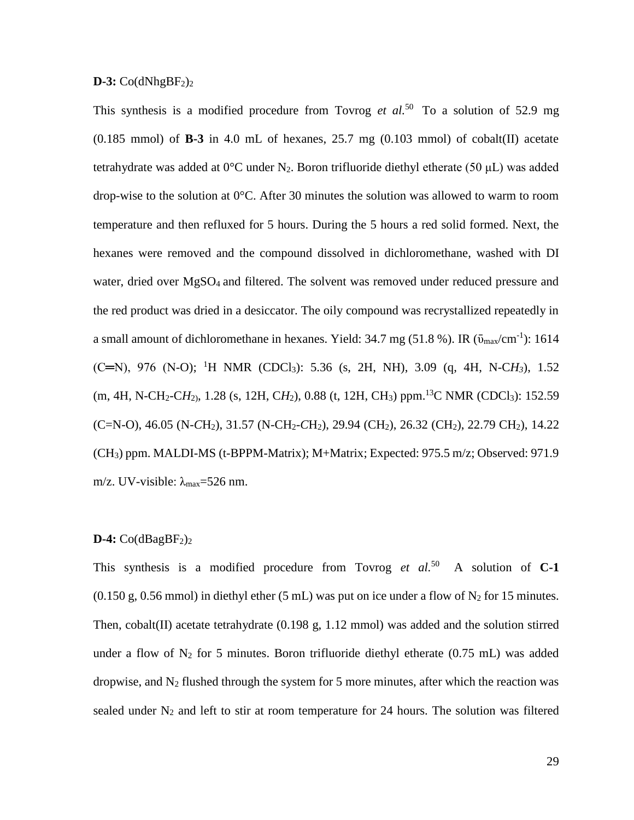### $D-3$ :  $Co(dNhgBF<sub>2</sub>)<sub>2</sub>$

This synthesis is a modified procedure from Tovrog *et al.*<sup>50</sup> To a solution of 52.9 mg  $(0.185 \text{ mmol})$  of **B-3** in 4.0 mL of hexanes, 25.7 mg  $(0.103 \text{ mmol})$  of cobalt $(II)$  acetate tetrahydrate was added at  $0^{\circ}$ C under N<sub>2</sub>. Boron trifluoride diethyl etherate (50 µL) was added drop-wise to the solution at 0°C. After 30 minutes the solution was allowed to warm to room temperature and then refluxed for 5 hours. During the 5 hours a red solid formed. Next, the hexanes were removed and the compound dissolved in dichloromethane, washed with DI water, dried over  $MgSO_4$  and filtered. The solvent was removed under reduced pressure and the red product was dried in a desiccator. The oily compound was recrystallized repeatedly in a small amount of dichloromethane in hexanes. Yield:  $34.7$  mg (51.8 %). IR ( $\bar{v}_{max}/\text{cm}^{-1}$ ): 1614  $(C=N)$ , 976 (N-O); <sup>1</sup>H NMR (CDCl<sub>3</sub>): 5.36 (s, 2H, NH), 3.09 (q, 4H, N-C*H<sub>3</sub>*), 1.52 (m, 4H, N-CH<sub>2</sub>-CH<sub>2</sub>), 1.28 (s, 12H, CH<sub>2</sub>), 0.88 (t, 12H, CH<sub>3</sub>) ppm.<sup>13</sup>C NMR (CDCl<sub>3</sub>): 152.59 (C=N-O), 46.05 (N-*C*H2), 31.57 (N-CH2-*C*H2), 29.94 (CH2), 26.32 (CH2), 22.79 CH2), 14.22 (CH3) ppm. MALDI-MS (t-BPPM-Matrix); M+Matrix; Expected: 975.5 m/z; Observed: 971.9 m/z. UV-visible:  $\lambda_{\text{max}}$ =526 nm.

#### $D-4$ :  $Co(dBagBF<sub>2</sub>)<sub>2</sub>$

This synthesis is a modified procedure from Tovrog  $et \text{ } al.^{50}$  A solution of **C-1**  $(0.150 \text{ g}, 0.56 \text{ mmol})$  in diethyl ether (5 mL) was put on ice under a flow of N<sub>2</sub> for 15 minutes. Then, cobalt(II) acetate tetrahydrate (0.198 g, 1.12 mmol) was added and the solution stirred under a flow of  $N_2$  for 5 minutes. Boron trifluoride diethyl etherate (0.75 mL) was added dropwise, and  $N_2$  flushed through the system for 5 more minutes, after which the reaction was sealed under  $N_2$  and left to stir at room temperature for 24 hours. The solution was filtered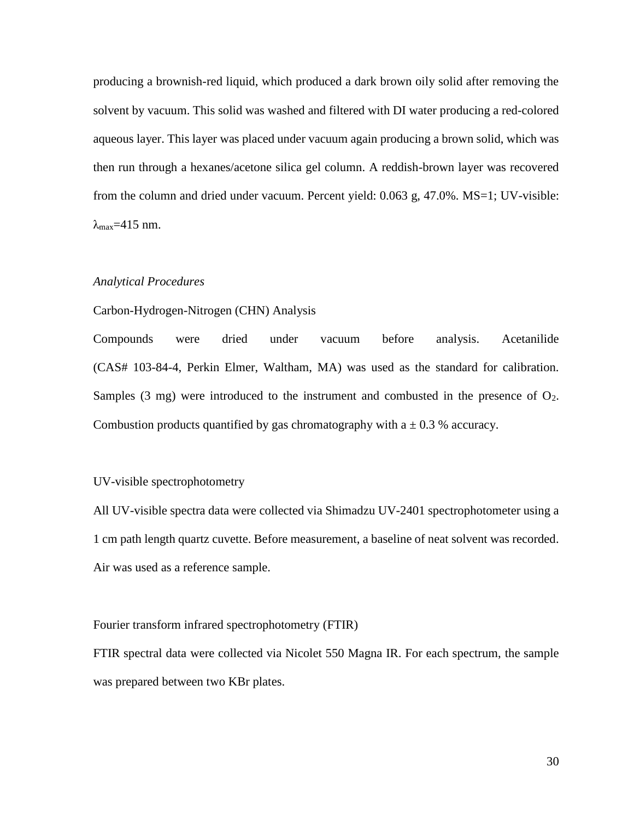producing a brownish-red liquid, which produced a dark brown oily solid after removing the solvent by vacuum. This solid was washed and filtered with DI water producing a red-colored aqueous layer. This layer was placed under vacuum again producing a brown solid, which was then run through a hexanes/acetone silica gel column. A reddish-brown layer was recovered from the column and dried under vacuum. Percent yield: 0.063 g, 47.0%. MS=1; UV-visible:  $\lambda_{\text{max}}$ =415 nm.

#### *Analytical Procedures*

### Carbon-Hydrogen-Nitrogen (CHN) Analysis

Compounds were dried under vacuum before analysis. Acetanilide (CAS# 103-84-4, Perkin Elmer, Waltham, MA) was used as the standard for calibration. Samples  $(3 \text{ mg})$  were introduced to the instrument and combusted in the presence of  $O_2$ . Combustion products quantified by gas chromatography with  $a \pm 0.3$  % accuracy.

### UV-visible spectrophotometry

All UV-visible spectra data were collected via Shimadzu UV-2401 spectrophotometer using a 1 cm path length quartz cuvette. Before measurement, a baseline of neat solvent was recorded. Air was used as a reference sample.

# Fourier transform infrared spectrophotometry (FTIR)

FTIR spectral data were collected via Nicolet 550 Magna IR. For each spectrum, the sample was prepared between two KBr plates.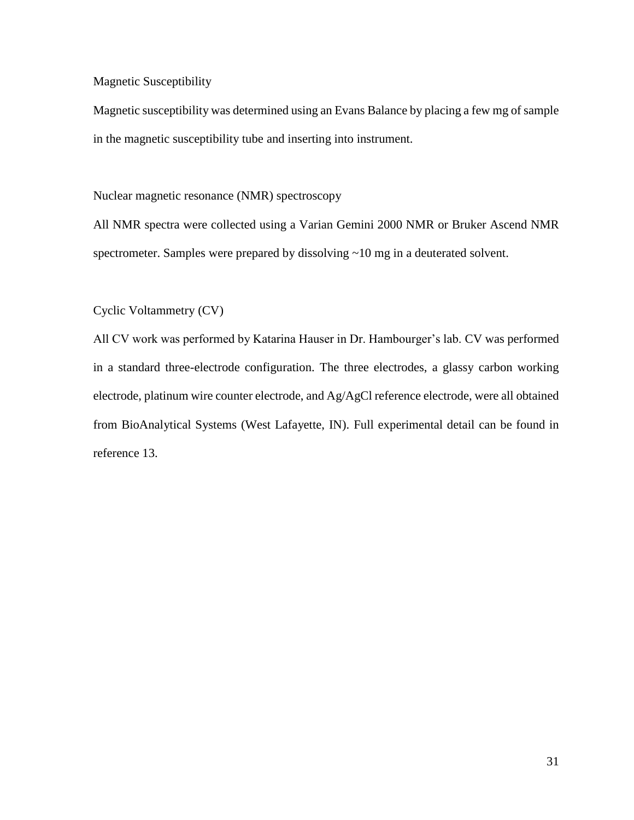# Magnetic Susceptibility

Magnetic susceptibility was determined using an Evans Balance by placing a few mg of sample in the magnetic susceptibility tube and inserting into instrument.

Nuclear magnetic resonance (NMR) spectroscopy

All NMR spectra were collected using a Varian Gemini 2000 NMR or Bruker Ascend NMR spectrometer. Samples were prepared by dissolving ~10 mg in a deuterated solvent.

Cyclic Voltammetry (CV)

All CV work was performed by Katarina Hauser in Dr. Hambourger's lab. CV was performed in a standard three-electrode configuration. The three electrodes, a glassy carbon working electrode, platinum wire counter electrode, and Ag/AgCl reference electrode, were all obtained from BioAnalytical Systems (West Lafayette, IN). Full experimental detail can be found in reference 13.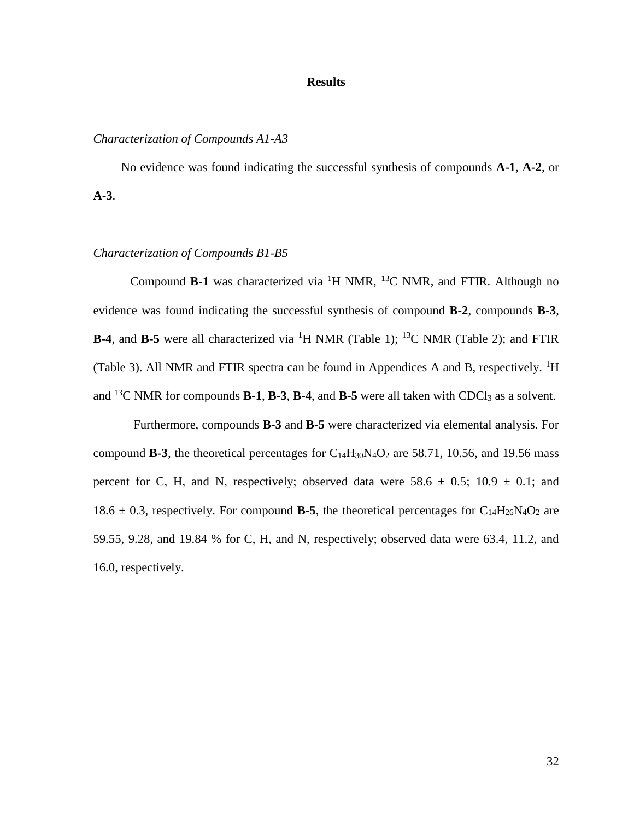### **Results**

# *Characterization of Compounds A1-A3*

No evidence was found indicating the successful synthesis of compounds **A-1**, **A-2**, or **A-3**.

## *Characterization of Compounds B1-B5*

Compound **B-1** was characterized via <sup>1</sup>H NMR, <sup>13</sup>C NMR, and FTIR. Although no evidence was found indicating the successful synthesis of compound **B-2**, compounds **B-3**, **B-4**, and **B-5** were all characterized via <sup>1</sup>H NMR (Table 1); <sup>13</sup>C NMR (Table 2); and FTIR (Table 3). All NMR and FTIR spectra can be found in Appendices A and B, respectively. <sup>1</sup>H and  $^{13}$ C NMR for compounds **B-1**, **B-3**, **B-4**, and **B-5** were all taken with CDCl<sub>3</sub> as a solvent.

Furthermore, compounds **B-3** and **B-5** were characterized via elemental analysis. For compound **B-3**, the theoretical percentages for  $C_{14}H_{30}N_4O_2$  are 58.71, 10.56, and 19.56 mass percent for C, H, and N, respectively; observed data were  $58.6 \pm 0.5$ ;  $10.9 \pm 0.1$ ; and 18.6  $\pm$  0.3, respectively. For compound **B-5**, the theoretical percentages for C<sub>14</sub>H<sub>26</sub>N<sub>4</sub>O<sub>2</sub> are 59.55, 9.28, and 19.84 % for C, H, and N, respectively; observed data were 63.4, 11.2, and 16.0, respectively.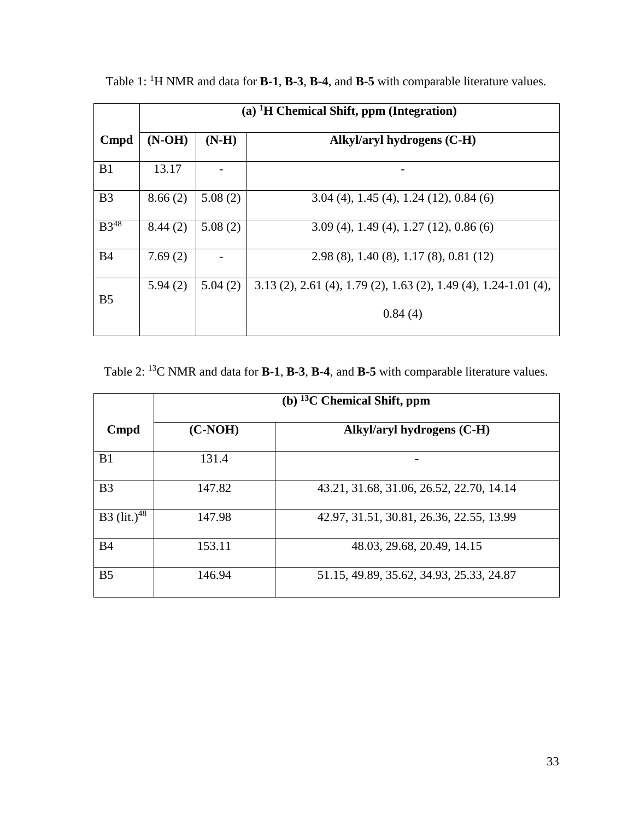|                | $(a)$ <sup>1</sup> H Chemical Shift, ppm (Integration) |         |                                                                    |  |  |  |
|----------------|--------------------------------------------------------|---------|--------------------------------------------------------------------|--|--|--|
| <b>Cmpd</b>    | $(N-OH)$                                               | $(N-H)$ | Alkyl/aryl hydrogens (C-H)                                         |  |  |  |
| B1             | 13.17                                                  |         |                                                                    |  |  |  |
| B <sub>3</sub> | 8.66(2)                                                | 5.08(2) | $3.04(4)$ , 1.45 $(4)$ , 1.24 $(12)$ , 0.84 $(6)$                  |  |  |  |
| $B3^{48}$      | 8.44(2)                                                | 5.08(2) | $3.09(4)$ , 1.49 $(4)$ , 1.27 $(12)$ , 0.86 $(6)$                  |  |  |  |
| <b>B4</b>      | 7.69(2)                                                |         | $2.98(8)$ , 1.40 (8), 1.17 (8), 0.81 (12)                          |  |  |  |
| B <sub>5</sub> | 5.94(2)                                                | 5.04(2) | $3.13$ (2), 2.61 (4), 1.79 (2), 1.63 (2), 1.49 (4), 1.24-1.01 (4), |  |  |  |
|                |                                                        |         | 0.84(4)                                                            |  |  |  |

Table 1: <sup>1</sup>H NMR and data for **B-1**, **B-3**, **B-4**, and **B-5** with comparable literature values.

Table 2: <sup>13</sup>C NMR and data for **B-1**, **B-3**, **B-4**, and **B-5** with comparable literature values.

|                                | (b) $^{13}$ C Chemical Shift, ppm |                                          |  |  |  |  |
|--------------------------------|-----------------------------------|------------------------------------------|--|--|--|--|
| Cmpd                           | $(C-NOH)$                         | Alkyl/aryl hydrogens (C-H)               |  |  |  |  |
| B1                             | 131.4                             |                                          |  |  |  |  |
| B <sub>3</sub>                 | 147.82                            | 43.21, 31.68, 31.06, 26.52, 22.70, 14.14 |  |  |  |  |
| <b>B3</b> (lit.) <sup>48</sup> | 147.98                            | 42.97, 31.51, 30.81, 26.36, 22.55, 13.99 |  |  |  |  |
| <b>B4</b>                      | 153.11                            | 48.03, 29.68, 20.49, 14.15               |  |  |  |  |
| B <sub>5</sub>                 | 146.94                            | 51.15, 49.89, 35.62, 34.93, 25.33, 24.87 |  |  |  |  |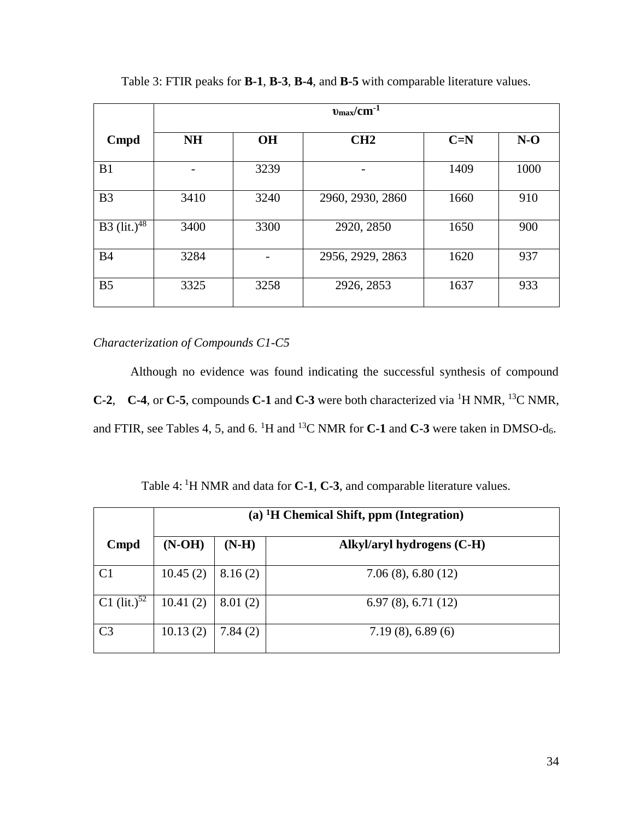|                  | $v_{\rm max}/\rm cm^{-1}$ |           |                  |       |       |  |
|------------------|---------------------------|-----------|------------------|-------|-------|--|
| <b>Cmpd</b>      | <b>NH</b>                 | <b>OH</b> | CH2              | $C=N$ | $N-O$ |  |
| B1               |                           | 3239      |                  | 1409  | 1000  |  |
| B <sub>3</sub>   | 3410                      | 3240      | 2960, 2930, 2860 | 1660  | 910   |  |
| B3 $(lit.)^{48}$ | 3400                      | 3300      | 2920, 2850       | 1650  | 900   |  |
| <b>B4</b>        | 3284                      |           | 2956, 2929, 2863 | 1620  | 937   |  |
| B <sub>5</sub>   | 3325                      | 3258      | 2926, 2853       | 1637  | 933   |  |

Table 3: FTIR peaks for **B-1**, **B-3**, **B-4**, and **B-5** with comparable literature values.

*Characterization of Compounds C1-C5*

Although no evidence was found indicating the successful synthesis of compound **C-2**, **C-4**, or **C-5**, compounds **C-1** and **C-3** were both characterized via <sup>1</sup>H NMR, <sup>13</sup>C NMR, and FTIR, see Tables 4, 5, and 6. <sup>1</sup>H and <sup>13</sup>C NMR for **C-1** and **C-3** were taken in DMSO-d<sub>6</sub>.

Table 4: <sup>1</sup>H NMR and data for **C-1**, **C-3**, and comparable literature values.

|                  | (a) ${}^{1}H$ Chemical Shift, ppm (Integration) |         |                            |  |  |  |
|------------------|-------------------------------------------------|---------|----------------------------|--|--|--|
| Cmpd             | $(N-OH)$                                        | $(N-H)$ | Alkyl/aryl hydrogens (C-H) |  |  |  |
| C <sub>1</sub>   | 10.45(2)                                        | 8.16(2) | $7.06(8)$ , 6.80 (12)      |  |  |  |
| C1 $(lit.)^{52}$ | 10.41(2)                                        | 8.01(2) | 6.97(8), 6.71(12)          |  |  |  |
| C <sub>3</sub>   | 10.13(2)                                        | 7.84(2) | $7.19(8)$ , 6.89 (6)       |  |  |  |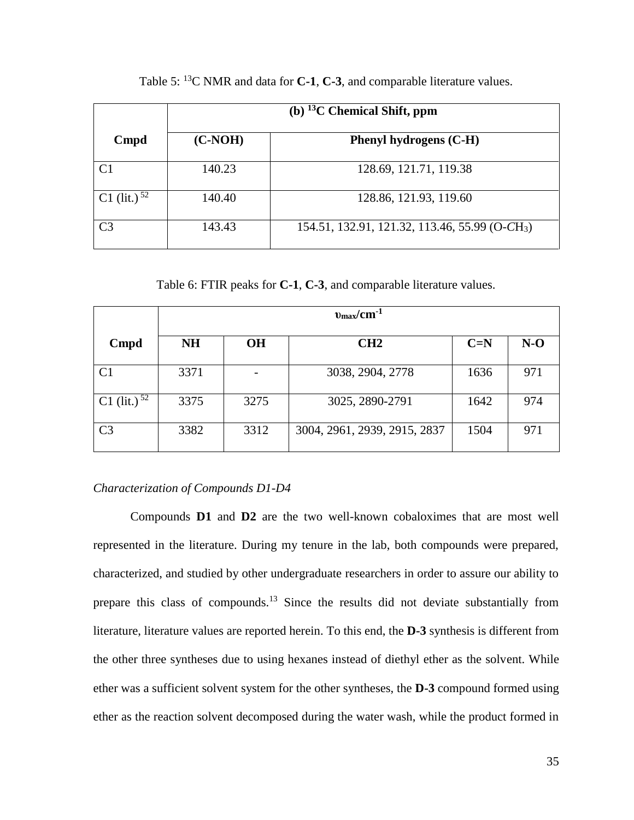|                | (b) $^{13}$ C Chemical Shift, ppm |                                                            |  |  |  |
|----------------|-----------------------------------|------------------------------------------------------------|--|--|--|
| Cmpd           | $(C-NOH)$                         | Phenyl hydrogens (C-H)                                     |  |  |  |
| C1             | 140.23                            | 128.69, 121.71, 119.38                                     |  |  |  |
| C1 (lit.) $52$ | 140.40                            | 128.86, 121.93, 119.60                                     |  |  |  |
| C3             | 143.43                            | 154.51, 132.91, 121.32, 113.46, 55.99 (O-CH <sub>3</sub> ) |  |  |  |

Table 5: <sup>13</sup>C NMR and data for **C-1**, **C-3**, and comparable literature values.

Table 6: FTIR peaks for **C-1**, **C-3**, and comparable literature values.

|                   | $v_{\rm max}/\rm cm^{-1}$ |           |                              |       |       |  |
|-------------------|---------------------------|-----------|------------------------------|-------|-------|--|
| <b>Cmpd</b>       | <b>NH</b>                 | <b>OH</b> | CH2                          | $C=N$ | $N-O$ |  |
| C <sub>1</sub>    | 3371                      |           | 3038, 2904, 2778             | 1636  | 971   |  |
| C1 (lit.) $^{52}$ | 3375                      | 3275      | 3025, 2890-2791              | 1642  | 974   |  |
| C <sub>3</sub>    | 3382                      | 3312      | 3004, 2961, 2939, 2915, 2837 | 1504  | 971   |  |

# *Characterization of Compounds D1-D4*

Compounds **D1** and **D2** are the two well-known cobaloximes that are most well represented in the literature. During my tenure in the lab, both compounds were prepared, characterized, and studied by other undergraduate researchers in order to assure our ability to prepare this class of compounds.<sup>13</sup> Since the results did not deviate substantially from literature, literature values are reported herein. To this end, the **D-3** synthesis is different from the other three syntheses due to using hexanes instead of diethyl ether as the solvent. While ether was a sufficient solvent system for the other syntheses, the **D-3** compound formed using ether as the reaction solvent decomposed during the water wash, while the product formed in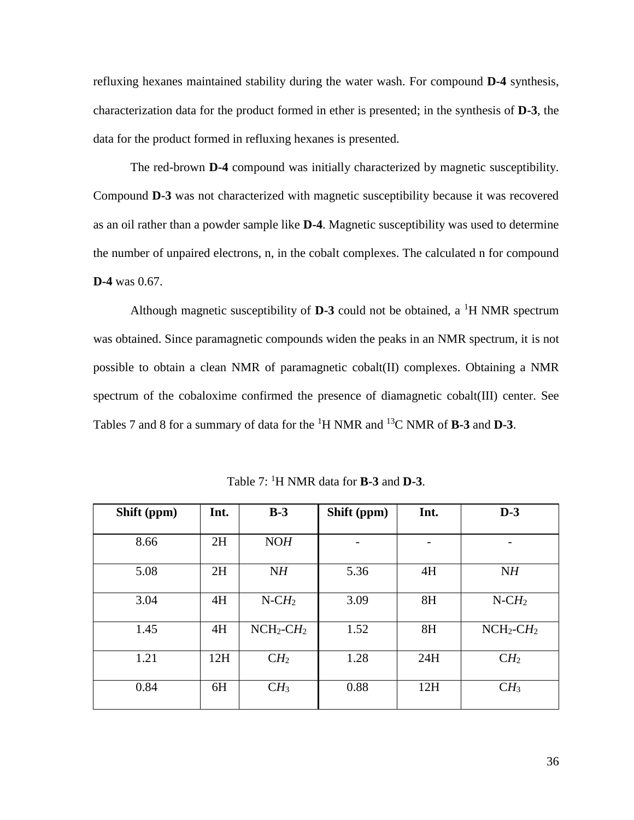refluxing hexanes maintained stability during the water wash. For compound **D-4** synthesis, characterization data for the product formed in ether is presented; in the synthesis of **D-3**, the data for the product formed in refluxing hexanes is presented.

The red-brown **D-4** compound was initially characterized by magnetic susceptibility. Compound **D-3** was not characterized with magnetic susceptibility because it was recovered as an oil rather than a powder sample like **D-4**. Magnetic susceptibility was used to determine the number of unpaired electrons, n, in the cobalt complexes. The calculated n for compound **D-4** was 0.67.

Although magnetic susceptibility of  $D-3$  could not be obtained, a <sup>1</sup>H NMR spectrum was obtained. Since paramagnetic compounds widen the peaks in an NMR spectrum, it is not possible to obtain a clean NMR of paramagnetic cobalt(II) complexes. Obtaining a NMR spectrum of the cobaloxime confirmed the presence of diamagnetic cobalt(III) center. See Tables 7 and 8 for a summary of data for the <sup>1</sup>H NMR and <sup>13</sup>C NMR of **B-3** and **D-3**.

| Shift (ppm) | Int. | $B-3$                    | Shift (ppm) | Int. | $D-3$                    |
|-------------|------|--------------------------|-------------|------|--------------------------|
|             |      |                          |             |      |                          |
| 8.66        | 2H   | NOH                      |             |      |                          |
| 5.08        | 2H   | NH                       | 5.36        | 4H   | NH                       |
| 3.04        | 4H   | $N$ -CH <sub>2</sub>     | 3.09        | 8H   | $N$ -C $H_2$             |
| 1.45        | 4H   | $NCH_2$ -CH <sub>2</sub> | 1.52        | 8H   | $NCH_2$ -CH <sub>2</sub> |
| 1.21        | 12H  | CH <sub>2</sub>          | 1.28        | 24H  | CH <sub>2</sub>          |
| 0.84        | 6H   | CH <sub>3</sub>          | 0.88        | 12H  | CH <sub>3</sub>          |

Table 7: <sup>1</sup>H NMR data for **B-3** and **D-3**.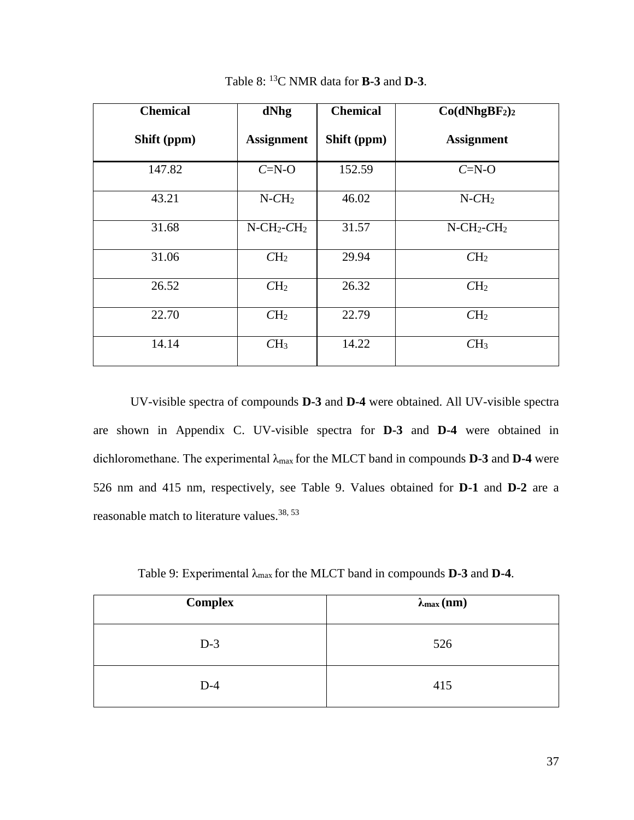| <b>Chemical</b> | <b>Chemical</b><br>dNhg               |             | Co(dNhgBF <sub>2</sub> ) <sub>2</sub> |
|-----------------|---------------------------------------|-------------|---------------------------------------|
| Shift (ppm)     | <b>Assignment</b>                     | Shift (ppm) | <b>Assignment</b>                     |
| 147.82          | $C=N-O$                               | 152.59      | $C=N-O$                               |
| 43.21           | $N$ - $CH2$                           | 46.02       | $N$ - $CH2$                           |
| 31.68           | $N$ -CH <sub>2</sub> -CH <sub>2</sub> | 31.57       | $N$ -CH <sub>2</sub> -CH <sub>2</sub> |
| 31.06           | CH <sub>2</sub>                       | 29.94       | CH <sub>2</sub>                       |
| 26.52           | CH <sub>2</sub>                       | 26.32       | CH <sub>2</sub>                       |
| 22.70           | CH <sub>2</sub>                       | 22.79       | CH <sub>2</sub>                       |
| 14.14           | CH <sub>3</sub>                       | 14.22       | CH <sub>3</sub>                       |

Table 8: <sup>13</sup>C NMR data for **B-3** and **D-3**.

UV-visible spectra of compounds **D-3** and **D-4** were obtained. All UV-visible spectra are shown in Appendix C. UV-visible spectra for **D-3** and **D-4** were obtained in dichloromethane. The experimental λmax for the MLCT band in compounds **D-3** and **D-4** were 526 nm and 415 nm, respectively, see Table 9. Values obtained for **D-1** and **D-2** are a reasonable match to literature values.<sup>38, 53</sup>

Table 9: Experimental λmax for the MLCT band in compounds **D-3** and **D-4**.

| <b>Complex</b> | $\lambda_{\max}$ (nm) |
|----------------|-----------------------|
| $D-3$          | 526                   |
| $D-4$          | 415                   |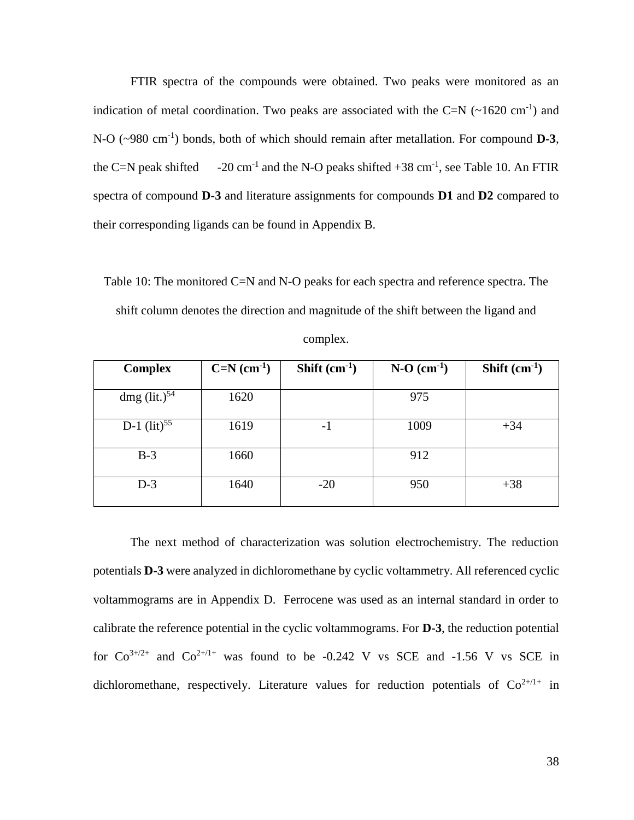FTIR spectra of the compounds were obtained. Two peaks were monitored as an indication of metal coordination. Two peaks are associated with the C=N  $(\sim 1620 \text{ cm}^{-1})$  and N-O (~980 cm<sup>-1</sup>) bonds, both of which should remain after metallation. For compound **D-3**, the  $C=N$  peak shifted and the N-O peaks shifted  $+38$  cm<sup>-1</sup>, see Table 10. An FTIR spectra of compound **D-3** and literature assignments for compounds **D1** and **D2** compared to their corresponding ligands can be found in Appendix B.

Table 10: The monitored C=N and N-O peaks for each spectra and reference spectra. The shift column denotes the direction and magnitude of the shift between the ligand and

| complex. |
|----------|
|----------|

| <b>Complex</b>                                | $C=N$ (cm <sup>-1</sup> ) | Shift $(cm-1)$ | $N-O$ (cm <sup>-1</sup> ) | Shift $(cm-1)$ |
|-----------------------------------------------|---------------------------|----------------|---------------------------|----------------|
|                                               |                           |                |                           |                |
| dmg $\left(\frac{\text{lit.}}{2}\right)^{54}$ | 1620                      |                | 975                       |                |
| D-1 $(lit)^{55}$                              | 1619                      | - 1            | 1009                      | $+34$          |
| $B-3$                                         | 1660                      |                | 912                       |                |
| $D-3$                                         | 1640                      | $-20$          | 950                       | $+38$          |

The next method of characterization was solution electrochemistry. The reduction potentials **D-3** were analyzed in dichloromethane by cyclic voltammetry. All referenced cyclic voltammograms are in Appendix D. Ferrocene was used as an internal standard in order to calibrate the reference potential in the cyclic voltammograms. For **D-3**, the reduction potential for  $Co^{3+/2+}$  and  $Co^{2+/1+}$  was found to be -0.242 V vs SCE and -1.56 V vs SCE in dichloromethane, respectively. Literature values for reduction potentials of  $Co^{2+/1+}$  in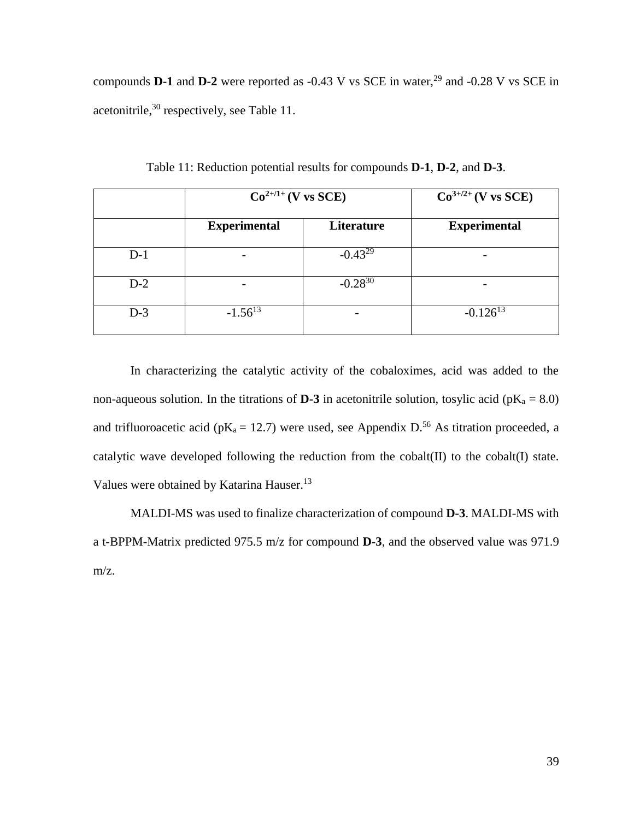compounds **D-1** and **D-2** were reported as  $-0.43$  V vs SCE in water,  $29$  and  $-0.28$  V vs SCE in acetonitrile,<sup>30</sup> respectively, see Table 11.

|       | $Co^{2+/1+}(V \text{ vs } SCE)$ |              | $Co^{3+/2+}(V \text{ vs } SCE)$ |
|-------|---------------------------------|--------------|---------------------------------|
|       | <b>Experimental</b>             | Literature   | <b>Experimental</b>             |
| $D-1$ |                                 | $-0.43^{29}$ |                                 |
| $D-2$ |                                 | $-0.28^{30}$ |                                 |
| $D-3$ | $-1.56^{13}$                    |              | $-0.126^{13}$                   |

Table 11: Reduction potential results for compounds **D-1**, **D-2**, and **D-3**.

In characterizing the catalytic activity of the cobaloximes, acid was added to the non-aqueous solution. In the titrations of **D-3** in acetonitrile solution, tosylic acid ( $pK_a = 8.0$ ) and trifluoroacetic acid ( $pK_a = 12.7$ ) were used, see Appendix D.<sup>56</sup> As titration proceeded, a catalytic wave developed following the reduction from the cobalt(II) to the cobalt(I) state. Values were obtained by Katarina Hauser.<sup>13</sup>

MALDI-MS was used to finalize characterization of compound **D-3**. MALDI-MS with a t-BPPM-Matrix predicted 975.5 m/z for compound **D-3**, and the observed value was 971.9 m/z.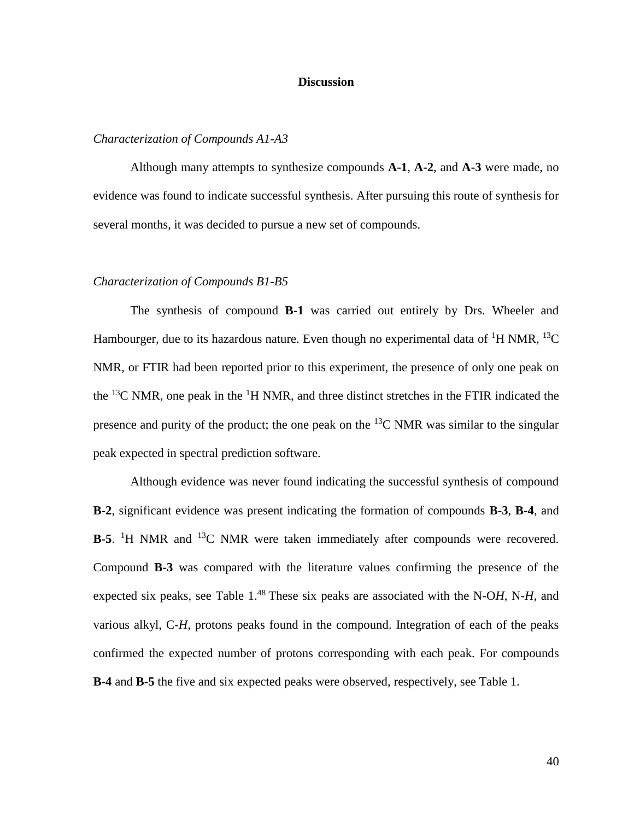### **Discussion**

## *Characterization of Compounds A1-A3*

Although many attempts to synthesize compounds **A-1**, **A-2**, and **A-3** were made, no evidence was found to indicate successful synthesis. After pursuing this route of synthesis for several months, it was decided to pursue a new set of compounds.

#### *Characterization of Compounds B1-B5*

The synthesis of compound **B-1** was carried out entirely by Drs. Wheeler and Hambourger, due to its hazardous nature. Even though no experimental data of <sup>1</sup>H NMR, <sup>13</sup>C NMR, or FTIR had been reported prior to this experiment, the presence of only one peak on the <sup>13</sup>C NMR, one peak in the <sup>1</sup>H NMR, and three distinct stretches in the FTIR indicated the presence and purity of the product; the one peak on the  ${}^{13}C$  NMR was similar to the singular peak expected in spectral prediction software.

Although evidence was never found indicating the successful synthesis of compound **B-2**, significant evidence was present indicating the formation of compounds **B-3**, **B-4**, and **B-5**. <sup>1</sup>H NMR and <sup>13</sup>C NMR were taken immediately after compounds were recovered. Compound **B-3** was compared with the literature values confirming the presence of the expected six peaks, see Table 1.<sup>48</sup> These six peaks are associated with the N-OH, N-H, and various alkyl, C-*H*, protons peaks found in the compound. Integration of each of the peaks confirmed the expected number of protons corresponding with each peak. For compounds **B-4** and **B-5** the five and six expected peaks were observed, respectively, see Table 1.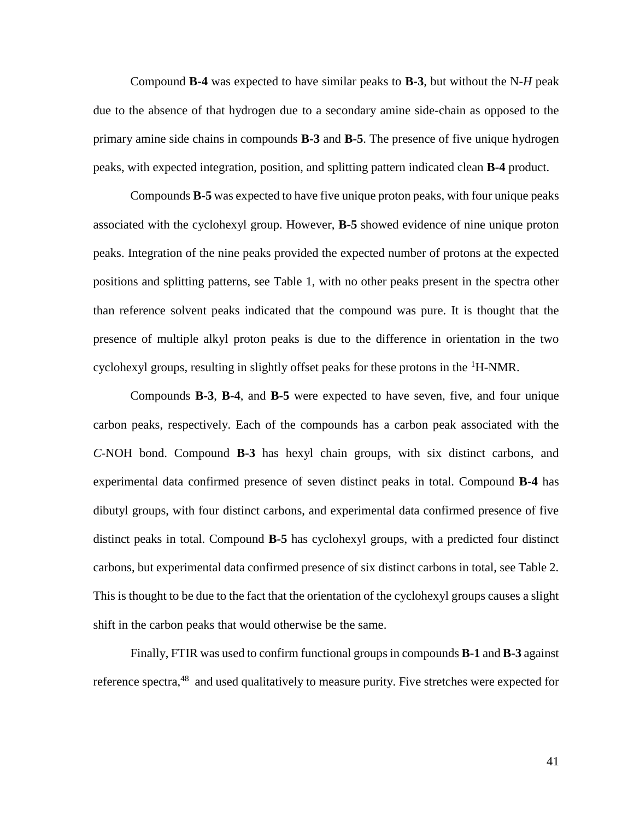Compound **B-4** was expected to have similar peaks to **B-3**, but without the N-*H* peak due to the absence of that hydrogen due to a secondary amine side-chain as opposed to the primary amine side chains in compounds **B-3** and **B-5**. The presence of five unique hydrogen peaks, with expected integration, position, and splitting pattern indicated clean **B-4** product.

Compounds **B-5** was expected to have five unique proton peaks, with four unique peaks associated with the cyclohexyl group. However, **B-5** showed evidence of nine unique proton peaks. Integration of the nine peaks provided the expected number of protons at the expected positions and splitting patterns, see Table 1, with no other peaks present in the spectra other than reference solvent peaks indicated that the compound was pure. It is thought that the presence of multiple alkyl proton peaks is due to the difference in orientation in the two cyclohexyl groups, resulting in slightly offset peaks for these protons in the  ${}^{1}$ H-NMR.

Compounds **B-3**, **B-4**, and **B-5** were expected to have seven, five, and four unique carbon peaks, respectively. Each of the compounds has a carbon peak associated with the *C*-NOH bond. Compound **B-3** has hexyl chain groups, with six distinct carbons, and experimental data confirmed presence of seven distinct peaks in total. Compound **B-4** has dibutyl groups, with four distinct carbons, and experimental data confirmed presence of five distinct peaks in total. Compound **B-5** has cyclohexyl groups, with a predicted four distinct carbons, but experimental data confirmed presence of six distinct carbons in total, see Table 2. This is thought to be due to the fact that the orientation of the cyclohexyl groups causes a slight shift in the carbon peaks that would otherwise be the same.

Finally, FTIR was used to confirm functional groups in compounds **B-1** and **B-3** against reference spectra,  $48$  and used qualitatively to measure purity. Five stretches were expected for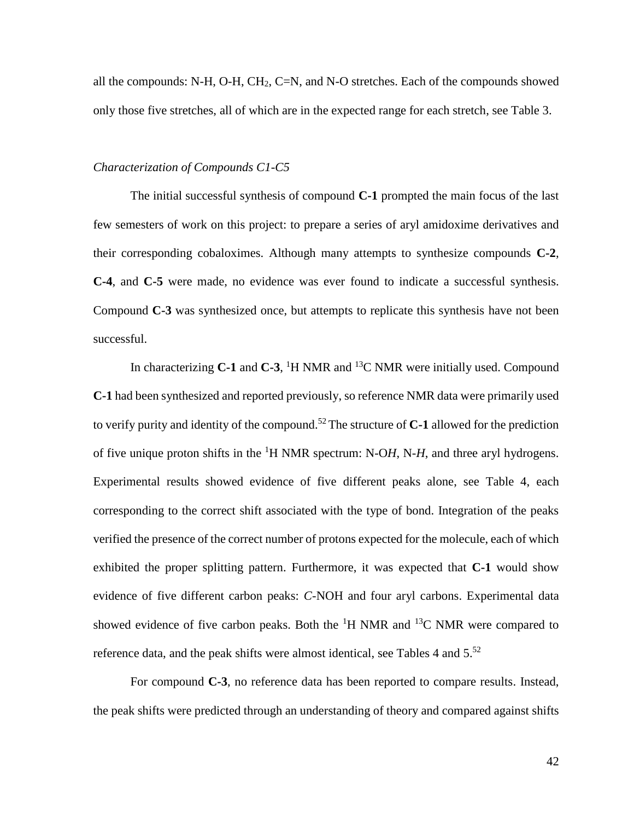all the compounds: N-H, O-H, CH<sub>2</sub>, C=N, and N-O stretches. Each of the compounds showed only those five stretches, all of which are in the expected range for each stretch, see Table 3.

### *Characterization of Compounds C1-C5*

The initial successful synthesis of compound **C-1** prompted the main focus of the last few semesters of work on this project: to prepare a series of aryl amidoxime derivatives and their corresponding cobaloximes. Although many attempts to synthesize compounds **C-2**, **C-4**, and **C-5** were made, no evidence was ever found to indicate a successful synthesis. Compound **C-3** was synthesized once, but attempts to replicate this synthesis have not been successful.

In characterizing **C-1** and **C-3**, <sup>1</sup>H NMR and <sup>13</sup>C NMR were initially used. Compound **C-1** had been synthesized and reported previously, so reference NMR data were primarily used to verify purity and identity of the compound.<sup>52</sup> The structure of  $C-1$  allowed for the prediction of five unique proton shifts in the <sup>1</sup>H NMR spectrum: N-O*H*, N-*H*, and three aryl hydrogens. Experimental results showed evidence of five different peaks alone, see Table 4, each corresponding to the correct shift associated with the type of bond. Integration of the peaks verified the presence of the correct number of protons expected for the molecule, each of which exhibited the proper splitting pattern. Furthermore, it was expected that **C-1** would show evidence of five different carbon peaks: *C*-NOH and four aryl carbons. Experimental data showed evidence of five carbon peaks. Both the  ${}^{1}H$  NMR and  ${}^{13}C$  NMR were compared to reference data, and the peak shifts were almost identical, see Tables 4 and  $5.52$ 

For compound **C-3**, no reference data has been reported to compare results. Instead, the peak shifts were predicted through an understanding of theory and compared against shifts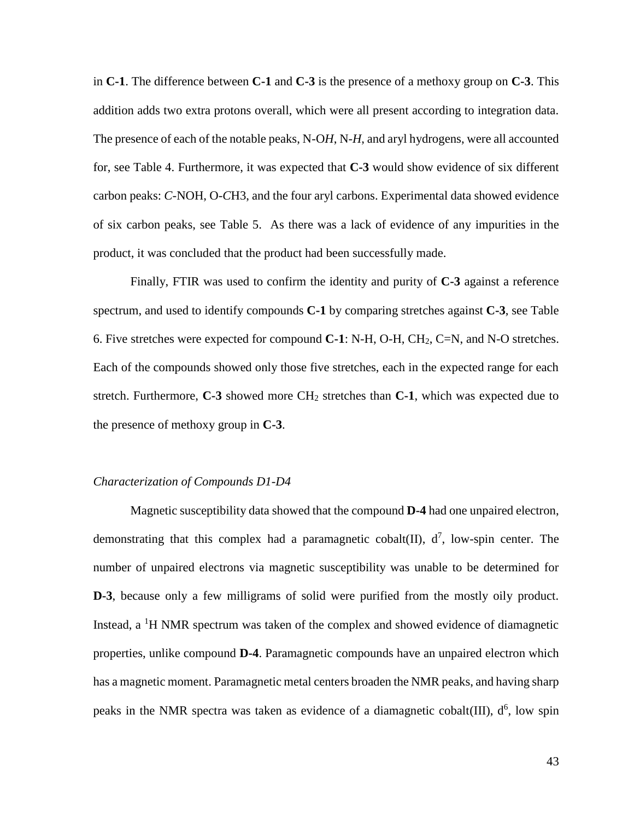in **C-1**. The difference between **C-1** and **C-3** is the presence of a methoxy group on **C-3**. This addition adds two extra protons overall, which were all present according to integration data. The presence of each of the notable peaks, N-O*H*, N-*H*, and aryl hydrogens, were all accounted for, see Table 4. Furthermore, it was expected that **C-3** would show evidence of six different carbon peaks: *C*-NOH, O-*C*H3, and the four aryl carbons. Experimental data showed evidence of six carbon peaks, see Table 5. As there was a lack of evidence of any impurities in the product, it was concluded that the product had been successfully made.

Finally, FTIR was used to confirm the identity and purity of **C-3** against a reference spectrum, and used to identify compounds **C-1** by comparing stretches against **C-3**, see Table 6. Five stretches were expected for compound **C-1**: N-H, O-H, CH2, C=N, and N-O stretches. Each of the compounds showed only those five stretches, each in the expected range for each stretch. Furthermore, **C-3** showed more CH<sup>2</sup> stretches than **C-1**, which was expected due to the presence of methoxy group in **C-3**.

### *Characterization of Compounds D1-D4*

Magnetic susceptibility data showed that the compound **D-4** had one unpaired electron, demonstrating that this complex had a paramagnetic cobalt  $(II)$ ,  $d^7$ , low-spin center. The number of unpaired electrons via magnetic susceptibility was unable to be determined for **D-3**, because only a few milligrams of solid were purified from the mostly oily product. Instead,  $a<sup>1</sup>H NMR$  spectrum was taken of the complex and showed evidence of diamagnetic properties, unlike compound **D-4**. Paramagnetic compounds have an unpaired electron which has a magnetic moment. Paramagnetic metal centers broaden the NMR peaks, and having sharp peaks in the NMR spectra was taken as evidence of a diamagnetic cobalt  $(III)$ ,  $d^6$ , low spin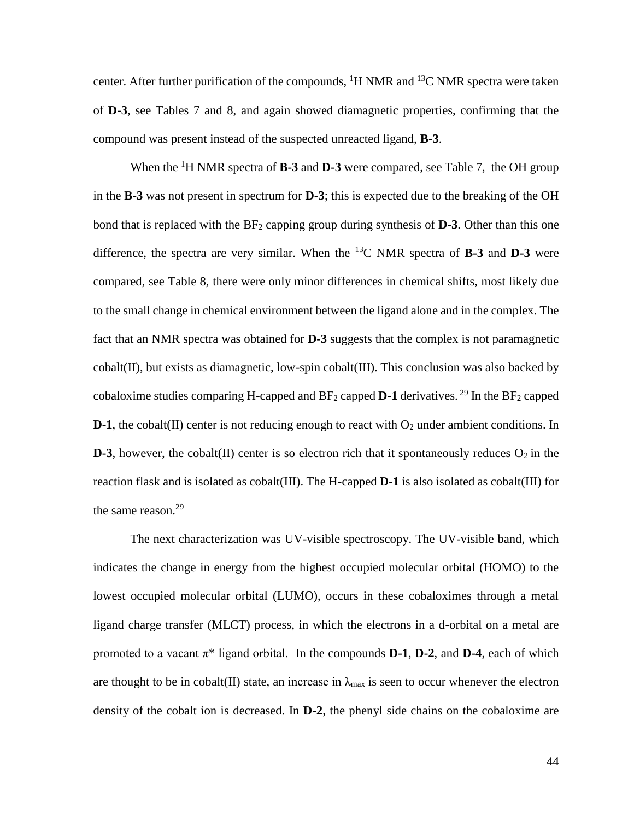center. After further purification of the compounds,  ${}^{1}H$  NMR and  ${}^{13}C$  NMR spectra were taken of **D-3**, see Tables 7 and 8, and again showed diamagnetic properties, confirming that the compound was present instead of the suspected unreacted ligand, **B-3**.

When the <sup>1</sup>H NMR spectra of **B-3** and **D-3** were compared, see Table 7, the OH group in the **B-3** was not present in spectrum for **D-3**; this is expected due to the breaking of the OH bond that is replaced with the BF<sup>2</sup> capping group during synthesis of **D-3**. Other than this one difference, the spectra are very similar. When the  $^{13}$ C NMR spectra of **B-3** and **D-3** were compared, see Table 8, there were only minor differences in chemical shifts, most likely due to the small change in chemical environment between the ligand alone and in the complex. The fact that an NMR spectra was obtained for **D-3** suggests that the complex is not paramagnetic cobalt(II), but exists as diamagnetic, low-spin cobalt(III). This conclusion was also backed by cobaloxime studies comparing H-capped and  $BF_2$  capped **D-1** derivatives. <sup>29</sup> In the  $BF_2$  capped **D-1**, the cobalt(II) center is not reducing enough to react with  $O_2$  under ambient conditions. In **D-3**, however, the cobalt(II) center is so electron rich that it spontaneously reduces  $O_2$  in the reaction flask and is isolated as cobalt(III). The H-capped **D-1** is also isolated as cobalt(III) for the same reason.<sup>29</sup>

The next characterization was UV-visible spectroscopy. The UV-visible band, which indicates the change in energy from the highest occupied molecular orbital (HOMO) to the lowest occupied molecular orbital (LUMO), occurs in these cobaloximes through a metal ligand charge transfer (MLCT) process, in which the electrons in a d-orbital on a metal are promoted to a vacant  $\pi^*$  ligand orbital. In the compounds **D-1**, **D-2**, and **D-4**, each of which are thought to be in cobalt(II) state, an increase in  $\lambda_{\text{max}}$  is seen to occur whenever the electron density of the cobalt ion is decreased. In **D-2**, the phenyl side chains on the cobaloxime are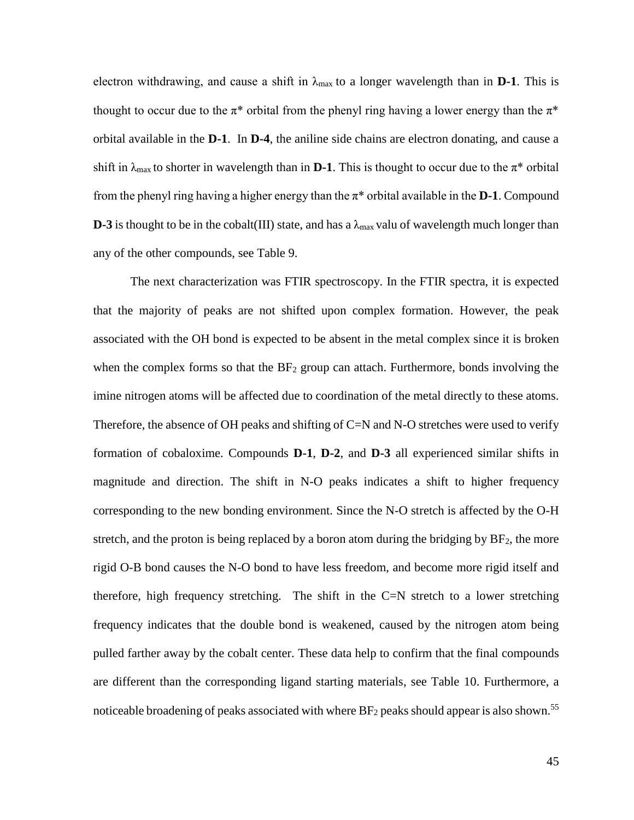electron withdrawing, and cause a shift in  $\lambda_{\text{max}}$  to a longer wavelength than in **D-1**. This is thought to occur due to the  $\pi^*$  orbital from the phenyl ring having a lower energy than the  $\pi^*$ orbital available in the **D-1**. In **D-4**, the aniline side chains are electron donating, and cause a shift in  $\lambda_{\text{max}}$  to shorter in wavelength than in **D-1**. This is thought to occur due to the  $\pi^*$  orbital from the phenyl ring having a higher energy than the  $\pi^*$  orbital available in the **D-1**. Compound **D-3** is thought to be in the cobalt(III) state, and has a  $\lambda_{\text{max}}$  valu of wavelength much longer than any of the other compounds, see Table 9.

The next characterization was FTIR spectroscopy. In the FTIR spectra, it is expected that the majority of peaks are not shifted upon complex formation. However, the peak associated with the OH bond is expected to be absent in the metal complex since it is broken when the complex forms so that the  $BF_2$  group can attach. Furthermore, bonds involving the imine nitrogen atoms will be affected due to coordination of the metal directly to these atoms. Therefore, the absence of OH peaks and shifting of C=N and N-O stretches were used to verify formation of cobaloxime. Compounds **D-1**, **D-2**, and **D-3** all experienced similar shifts in magnitude and direction. The shift in N-O peaks indicates a shift to higher frequency corresponding to the new bonding environment. Since the N-O stretch is affected by the O-H stretch, and the proton is being replaced by a boron atom during the bridging by  $BF<sub>2</sub>$ , the more rigid O-B bond causes the N-O bond to have less freedom, and become more rigid itself and therefore, high frequency stretching. The shift in the  $C=N$  stretch to a lower stretching frequency indicates that the double bond is weakened, caused by the nitrogen atom being pulled farther away by the cobalt center. These data help to confirm that the final compounds are different than the corresponding ligand starting materials, see Table 10. Furthermore, a noticeable broadening of peaks associated with where  $BF_2$  peaks should appear is also shown.<sup>55</sup>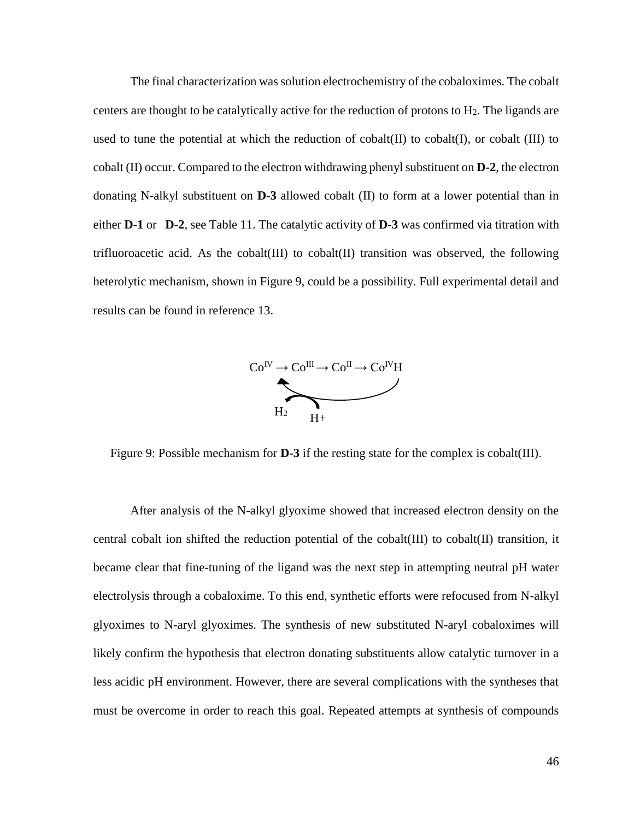The final characterization was solution electrochemistry of the cobaloximes. The cobalt centers are thought to be catalytically active for the reduction of protons to  $H_2$ . The ligands are used to tune the potential at which the reduction of cobalt $(II)$  to cobalt $(II)$ , or cobalt  $(III)$  to cobalt (II) occur. Compared to the electron withdrawing phenyl substituent on **D-2**, the electron donating N-alkyl substituent on **D-3** allowed cobalt (II) to form at a lower potential than in either **D-1** or **D-2**, see Table 11. The catalytic activity of **D-3** was confirmed via titration with trifluoroacetic acid. As the cobalt(III) to cobalt(II) transition was observed, the following heterolytic mechanism, shown in Figure 9, could be a possibility. Full experimental detail and results can be found in reference 13.



Figure 9: Possible mechanism for **D-3** if the resting state for the complex is cobalt(III).

After analysis of the N-alkyl glyoxime showed that increased electron density on the central cobalt ion shifted the reduction potential of the cobalt(III) to cobalt(II) transition, it became clear that fine-tuning of the ligand was the next step in attempting neutral pH water electrolysis through a cobaloxime. To this end, synthetic efforts were refocused from N-alkyl glyoximes to N-aryl glyoximes. The synthesis of new substituted N-aryl cobaloximes will likely confirm the hypothesis that electron donating substituents allow catalytic turnover in a less acidic pH environment. However, there are several complications with the syntheses that must be overcome in order to reach this goal. Repeated attempts at synthesis of compounds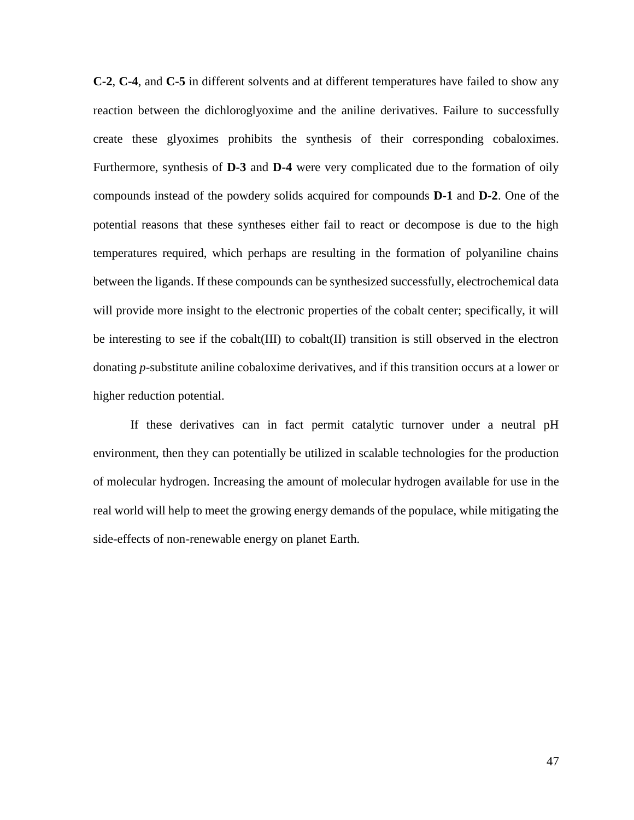**C-2**, **C-4**, and **C-5** in different solvents and at different temperatures have failed to show any reaction between the dichloroglyoxime and the aniline derivatives. Failure to successfully create these glyoximes prohibits the synthesis of their corresponding cobaloximes. Furthermore, synthesis of **D-3** and **D-4** were very complicated due to the formation of oily compounds instead of the powdery solids acquired for compounds **D-1** and **D-2**. One of the potential reasons that these syntheses either fail to react or decompose is due to the high temperatures required, which perhaps are resulting in the formation of polyaniline chains between the ligands. If these compounds can be synthesized successfully, electrochemical data will provide more insight to the electronic properties of the cobalt center; specifically, it will be interesting to see if the cobalt(III) to cobalt(II) transition is still observed in the electron donating *p*-substitute aniline cobaloxime derivatives, and if this transition occurs at a lower or higher reduction potential.

If these derivatives can in fact permit catalytic turnover under a neutral pH environment, then they can potentially be utilized in scalable technologies for the production of molecular hydrogen. Increasing the amount of molecular hydrogen available for use in the real world will help to meet the growing energy demands of the populace, while mitigating the side-effects of non-renewable energy on planet Earth.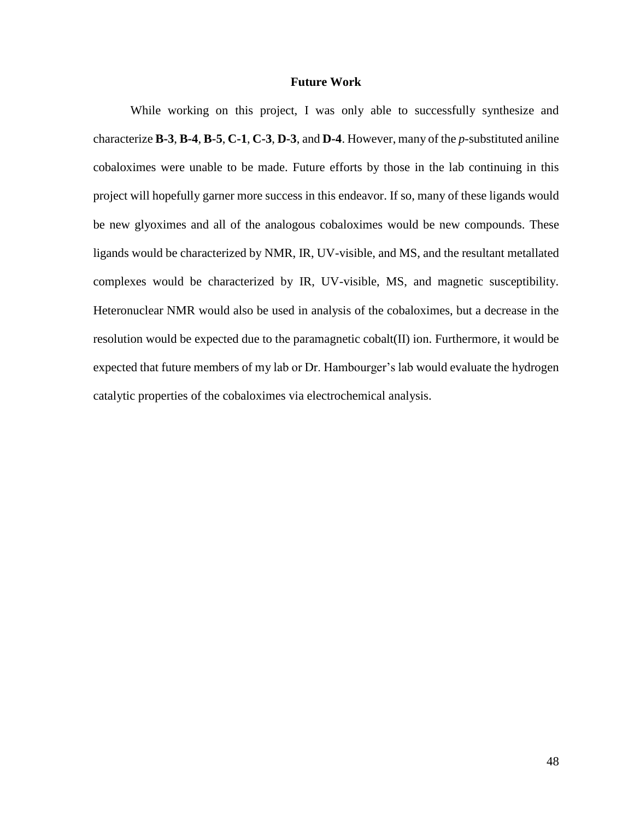# **Future Work**

While working on this project, I was only able to successfully synthesize and characterize **B-3**, **B-4**, **B-5**, **C-1**, **C-3**, **D-3**, and **D-4**. However, many of the *p*-substituted aniline cobaloximes were unable to be made. Future efforts by those in the lab continuing in this project will hopefully garner more success in this endeavor. If so, many of these ligands would be new glyoximes and all of the analogous cobaloximes would be new compounds. These ligands would be characterized by NMR, IR, UV-visible, and MS, and the resultant metallated complexes would be characterized by IR, UV-visible, MS, and magnetic susceptibility. Heteronuclear NMR would also be used in analysis of the cobaloximes, but a decrease in the resolution would be expected due to the paramagnetic cobalt(II) ion. Furthermore, it would be expected that future members of my lab or Dr. Hambourger's lab would evaluate the hydrogen catalytic properties of the cobaloximes via electrochemical analysis.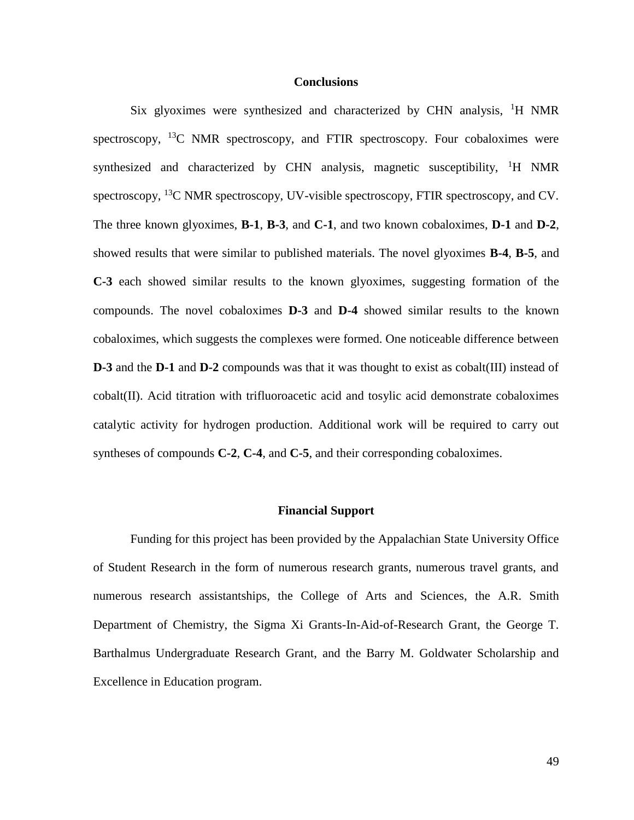#### **Conclusions**

Six glyoximes were synthesized and characterized by CHN analysis,  ${}^{1}H$  NMR spectroscopy,  $^{13}$ C NMR spectroscopy, and FTIR spectroscopy. Four cobaloximes were synthesized and characterized by CHN analysis, magnetic susceptibility,  ${}^{1}H$  NMR spectroscopy,  $^{13}$ C NMR spectroscopy, UV-visible spectroscopy, FTIR spectroscopy, and CV. The three known glyoximes, **B-1**, **B-3**, and **C-1**, and two known cobaloximes, **D-1** and **D-2**, showed results that were similar to published materials. The novel glyoximes **B-4**, **B-5**, and **C-3** each showed similar results to the known glyoximes, suggesting formation of the compounds. The novel cobaloximes **D-3** and **D-4** showed similar results to the known cobaloximes, which suggests the complexes were formed. One noticeable difference between **D-3** and the **D-1** and **D-2** compounds was that it was thought to exist as cobalt(III) instead of cobalt(II). Acid titration with trifluoroacetic acid and tosylic acid demonstrate cobaloximes catalytic activity for hydrogen production. Additional work will be required to carry out syntheses of compounds **C-2**, **C-4**, and **C-5**, and their corresponding cobaloximes.

#### **Financial Support**

Funding for this project has been provided by the Appalachian State University Office of Student Research in the form of numerous research grants, numerous travel grants, and numerous research assistantships, the College of Arts and Sciences, the A.R. Smith Department of Chemistry, the Sigma Xi Grants-In-Aid-of-Research Grant, the George T. Barthalmus Undergraduate Research Grant, and the Barry M. Goldwater Scholarship and Excellence in Education program.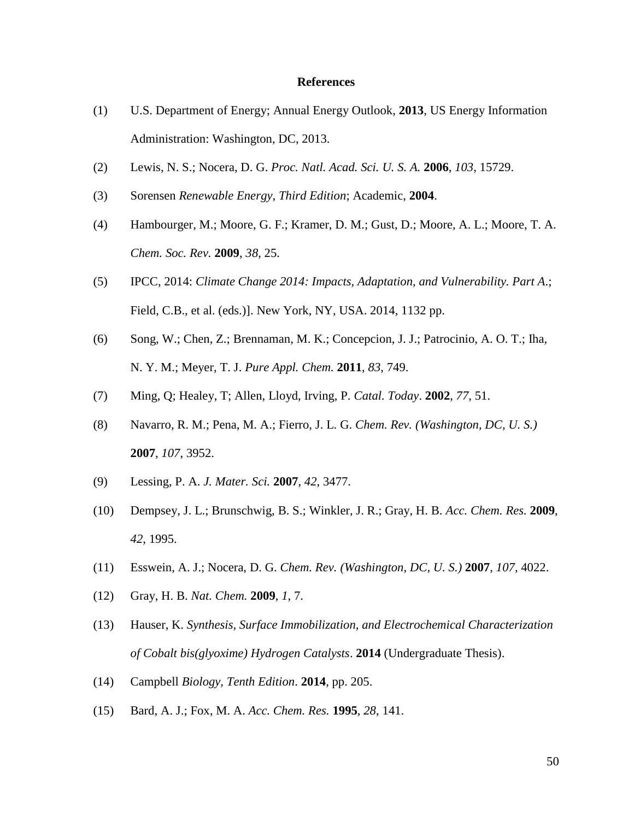#### **References**

- (1) U.S. Department of Energy; Annual Energy Outlook, **2013**, US Energy Information Administration: Washington, DC, 2013.
- (2) Lewis, N. S.; Nocera, D. G. *Proc. Natl. Acad. Sci. U. S. A.* **2006**, *103*, 15729.
- (3) Sorensen *Renewable Energy, Third Edition*; Academic, **2004**.
- (4) Hambourger, M.; Moore, G. F.; Kramer, D. M.; Gust, D.; Moore, A. L.; Moore, T. A. *Chem. Soc. Rev.* **2009**, *38*, 25.
- (5) IPCC, 2014: *Climate Change 2014: Impacts, Adaptation, and Vulnerability. Part A*.; Field, C.B., et al. (eds.)]. New York, NY, USA. 2014, 1132 pp.
- (6) Song, W.; Chen, Z.; Brennaman, M. K.; Concepcion, J. J.; Patrocinio, A. O. T.; Iha, N. Y. M.; Meyer, T. J. *Pure Appl. Chem.* **2011**, *83*, 749.
- (7) Ming, Q; Healey, T; Allen, Lloyd, Irving, P. *Catal. Today*. **2002**, *77*, 51.
- (8) Navarro, R. M.; Pena, M. A.; Fierro, J. L. G. *Chem. Rev. (Washington, DC, U. S.)* **2007**, *107*, 3952.
- (9) Lessing, P. A. *J. Mater. Sci.* **2007**, *42*, 3477.
- (10) Dempsey, J. L.; Brunschwig, B. S.; Winkler, J. R.; Gray, H. B. *Acc. Chem. Res.* **2009**, *42*, 1995.
- (11) Esswein, A. J.; Nocera, D. G. *Chem. Rev. (Washington, DC, U. S.)* **2007**, *107*, 4022.
- (12) Gray, H. B. *Nat. Chem.* **2009**, *1*, 7.
- (13) Hauser, K. *Synthesis, Surface Immobilization, and Electrochemical Characterization of Cobalt bis(glyoxime) Hydrogen Catalysts*. **2014** (Undergraduate Thesis).
- (14) Campbell *Biology, Tenth Edition*. **2014**, pp. 205.
- (15) Bard, A. J.; Fox, M. A. *Acc. Chem. Res.* **1995**, *28*, 141.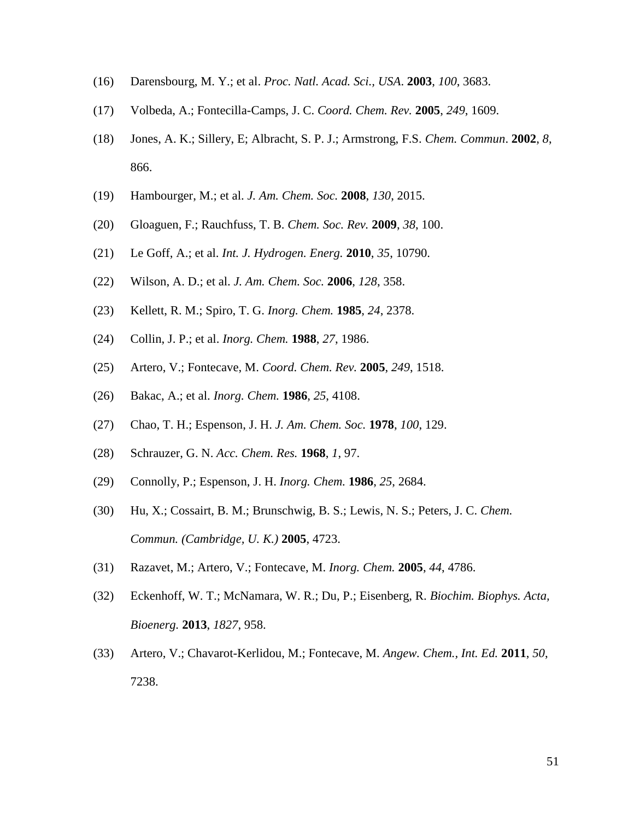- (16) Darensbourg, M. Y.; et al. *Proc. Natl. Acad. Sci., USA*. **2003**, *100*, 3683.
- (17) Volbeda, A.; Fontecilla-Camps, J. C. *Coord. Chem. Rev.* **2005**, *249*, 1609.
- (18) Jones, A. K.; Sillery, E; Albracht, S. P. J.; Armstrong, F.S. *Chem. Commun*. **2002**, *8*, 866.
- (19) Hambourger, M.; et al. *J. Am. Chem. Soc.* **2008**, *130*, 2015.
- (20) Gloaguen, F.; Rauchfuss, T. B. *Chem. Soc. Rev.* **2009**, *38*, 100.
- (21) Le Goff, A.; et al. *Int. J. Hydrogen. Energ.* **2010**, *35*, 10790.
- (22) Wilson, A. D.; et al. *J. Am. Chem. Soc.* **2006**, *128*, 358.
- (23) Kellett, R. M.; Spiro, T. G. *Inorg. Chem.* **1985**, *24*, 2378.
- (24) Collin, J. P.; et al. *Inorg. Chem.* **1988**, *27*, 1986.
- (25) Artero, V.; Fontecave, M. *Coord. Chem. Rev.* **2005**, *249*, 1518.
- (26) Bakac, A.; et al. *Inorg. Chem.* **1986**, *25*, 4108.
- (27) Chao, T. H.; Espenson, J. H. *J. Am. Chem. Soc.* **1978**, *100*, 129.
- (28) Schrauzer, G. N. *Acc. Chem. Res.* **1968**, *1*, 97.
- (29) Connolly, P.; Espenson, J. H. *Inorg. Chem.* **1986**, *25*, 2684.
- (30) Hu, X.; Cossairt, B. M.; Brunschwig, B. S.; Lewis, N. S.; Peters, J. C. *Chem. Commun. (Cambridge, U. K.)* **2005**, 4723.
- (31) Razavet, M.; Artero, V.; Fontecave, M. *Inorg. Chem.* **2005**, *44*, 4786.
- (32) Eckenhoff, W. T.; McNamara, W. R.; Du, P.; Eisenberg, R. *Biochim. Biophys. Acta, Bioenerg.* **2013**, *1827*, 958.
- (33) Artero, V.; Chavarot-Kerlidou, M.; Fontecave, M. *Angew. Chem., Int. Ed.* **2011**, *50*, 7238.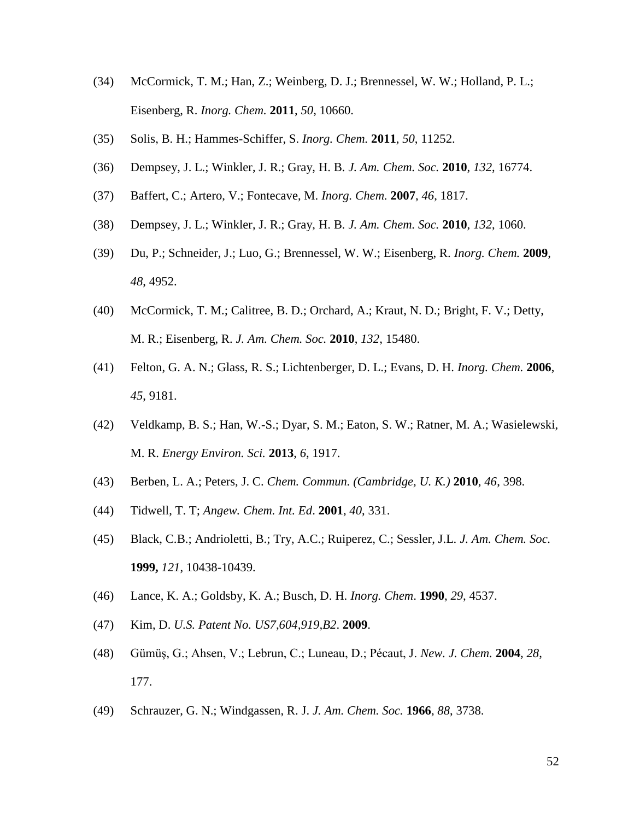- (34) McCormick, T. M.; Han, Z.; Weinberg, D. J.; Brennessel, W. W.; Holland, P. L.; Eisenberg, R. *Inorg. Chem.* **2011**, *50*, 10660.
- (35) Solis, B. H.; Hammes-Schiffer, S. *Inorg. Chem.* **2011**, *50*, 11252.
- (36) Dempsey, J. L.; Winkler, J. R.; Gray, H. B. *J. Am. Chem. Soc.* **2010**, *132*, 16774.
- (37) Baffert, C.; Artero, V.; Fontecave, M. *Inorg. Chem.* **2007**, *46*, 1817.
- (38) Dempsey, J. L.; Winkler, J. R.; Gray, H. B. *J. Am. Chem. Soc.* **2010**, *132*, 1060.
- (39) Du, P.; Schneider, J.; Luo, G.; Brennessel, W. W.; Eisenberg, R. *Inorg. Chem.* **2009**, *48*, 4952.
- (40) McCormick, T. M.; Calitree, B. D.; Orchard, A.; Kraut, N. D.; Bright, F. V.; Detty, M. R.; Eisenberg, R. *J. Am. Chem. Soc.* **2010**, *132*, 15480.
- (41) Felton, G. A. N.; Glass, R. S.; Lichtenberger, D. L.; Evans, D. H. *Inorg. Chem.* **2006**, *45*, 9181.
- (42) Veldkamp, B. S.; Han, W.-S.; Dyar, S. M.; Eaton, S. W.; Ratner, M. A.; Wasielewski, M. R. *Energy Environ. Sci.* **2013**, *6*, 1917.
- (43) Berben, L. A.; Peters, J. C. *Chem. Commun. (Cambridge, U. K.)* **2010**, *46*, 398.
- (44) Tidwell, T. T; *Angew. Chem. Int. Ed*. **2001**, *40*, 331.
- (45) Black, C.B.; Andrioletti, B.; Try, A.C.; Ruiperez, C.; Sessler, J.L. *J. Am. Chem. Soc.* **1999,** *121*, 10438-10439.
- (46) Lance, K. A.; Goldsby, K. A.; Busch, D. H. *Inorg. Chem*. **1990**, *29*, 4537.
- (47) Kim, D. *U.S. Patent No. US7,604,919,B2*. **2009**.
- (48) Gümüş, G.; Ahsen, V.; Lebrun, C.; Luneau, D.; Pécaut, J. *New. J. Chem.* **2004**, *28*, 177.
- (49) Schrauzer, G. N.; Windgassen, R. J. *J. Am. Chem. Soc.* **1966**, *88*, 3738.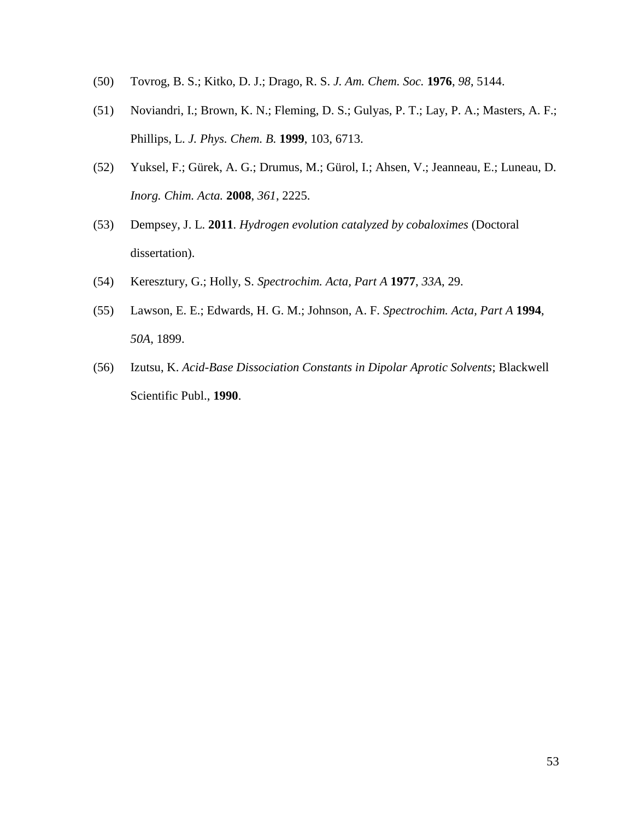- (50) Tovrog, B. S.; Kitko, D. J.; Drago, R. S. *J. Am. Chem. Soc.* **1976**, *98*, 5144.
- (51) Noviandri, I.; Brown, K. N.; Fleming, D. S.; Gulyas, P. T.; Lay, P. A.; Masters, A. F.; Phillips, L. *J. Phys. Chem. B.* **1999**, 103, 6713.
- (52) Yuksel, F.; Gürek, A. G.; Drumus, M.; Gürol, I.; Ahsen, V.; Jeanneau, E.; Luneau, D. *Inorg. Chim. Acta.* **2008**, *361*, 2225.
- (53) Dempsey, J. L. **2011**. *Hydrogen evolution catalyzed by cobaloximes* (Doctoral dissertation).
- (54) Keresztury, G.; Holly, S. *Spectrochim. Acta, Part A* **1977**, *33A*, 29.
- (55) Lawson, E. E.; Edwards, H. G. M.; Johnson, A. F. *Spectrochim. Acta, Part A* **1994**, *50A*, 1899.
- (56) Izutsu, K. *Acid-Base Dissociation Constants in Dipolar Aprotic Solvents*; Blackwell Scientific Publ., **1990**.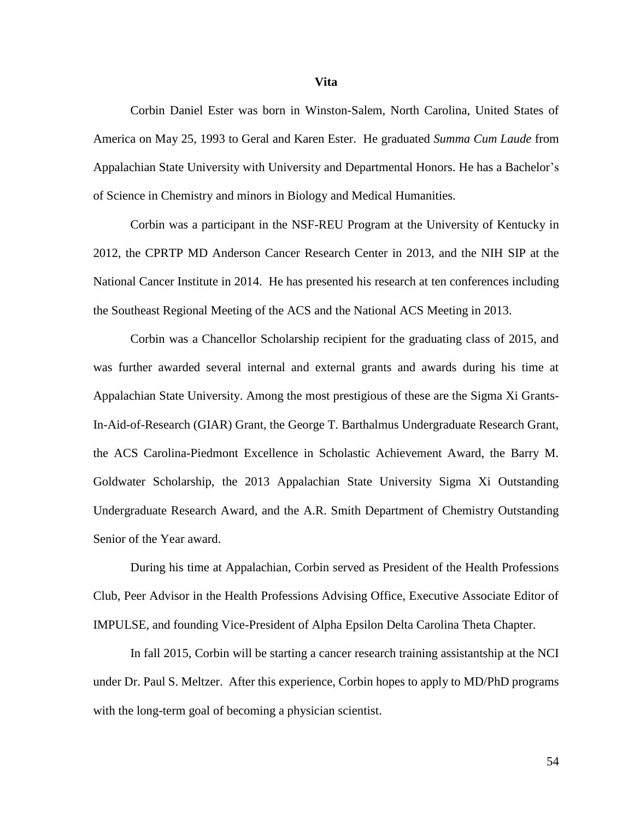Corbin Daniel Ester was born in Winston-Salem, North Carolina, United States of America on May 25, 1993 to Geral and Karen Ester. He graduated *Summa Cum Laude* from Appalachian State University with University and Departmental Honors. He has a Bachelor's of Science in Chemistry and minors in Biology and Medical Humanities.

Corbin was a participant in the NSF-REU Program at the University of Kentucky in 2012, the CPRTP MD Anderson Cancer Research Center in 2013, and the NIH SIP at the National Cancer Institute in 2014. He has presented his research at ten conferences including the Southeast Regional Meeting of the ACS and the National ACS Meeting in 2013.

Corbin was a Chancellor Scholarship recipient for the graduating class of 2015, and was further awarded several internal and external grants and awards during his time at Appalachian State University. Among the most prestigious of these are the Sigma Xi Grants-In-Aid-of-Research (GIAR) Grant, the George T. Barthalmus Undergraduate Research Grant, the ACS Carolina-Piedmont Excellence in Scholastic Achievement Award, the Barry M. Goldwater Scholarship, the 2013 Appalachian State University Sigma Xi Outstanding Undergraduate Research Award, and the A.R. Smith Department of Chemistry Outstanding Senior of the Year award.

During his time at Appalachian, Corbin served as President of the Health Professions Club, Peer Advisor in the Health Professions Advising Office, Executive Associate Editor of IMPULSE, and founding Vice-President of Alpha Epsilon Delta Carolina Theta Chapter.

In fall 2015, Corbin will be starting a cancer research training assistantship at the NCI under Dr. Paul S. Meltzer. After this experience, Corbin hopes to apply to MD/PhD programs with the long-term goal of becoming a physician scientist.

**Vita**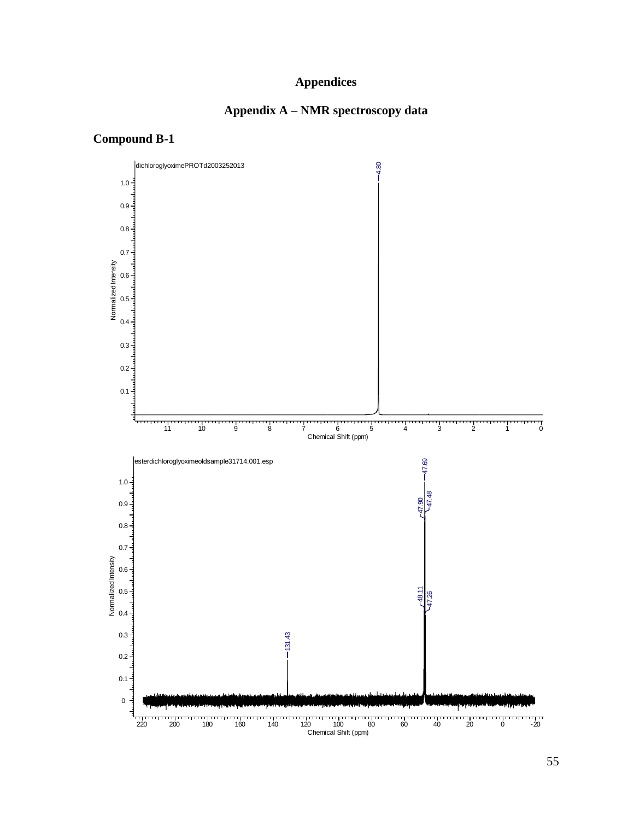# **Appendices**

# **Appendix A – NMR spectroscopy data**

# **Compound B-1**

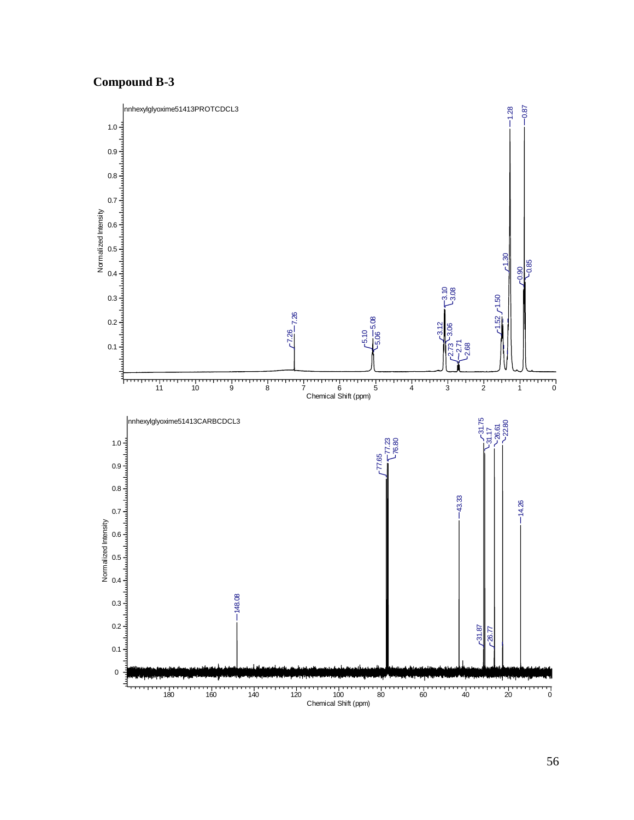# **Compound B-3**

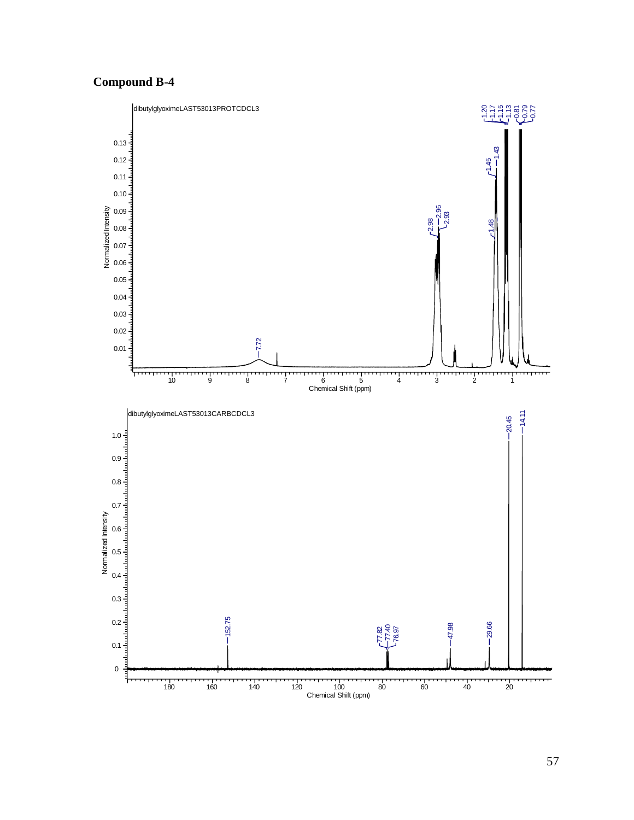# **Compound B-4**



57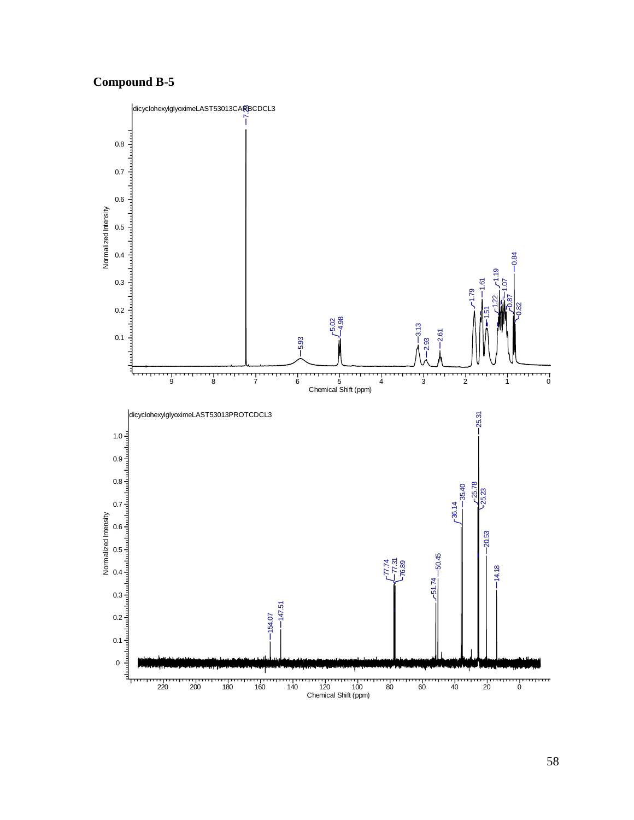# **Compound B-5**

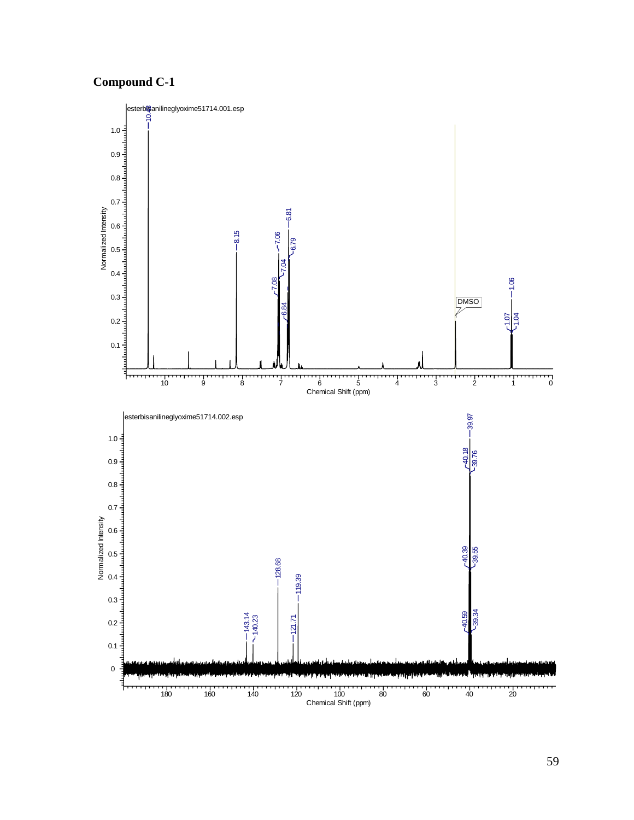# **Compound C-1**

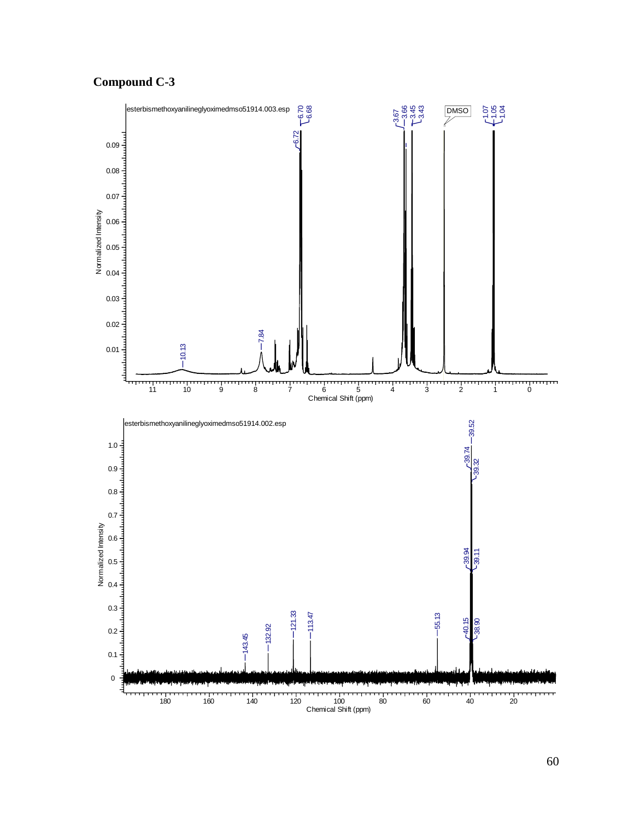# **Compound C-3**

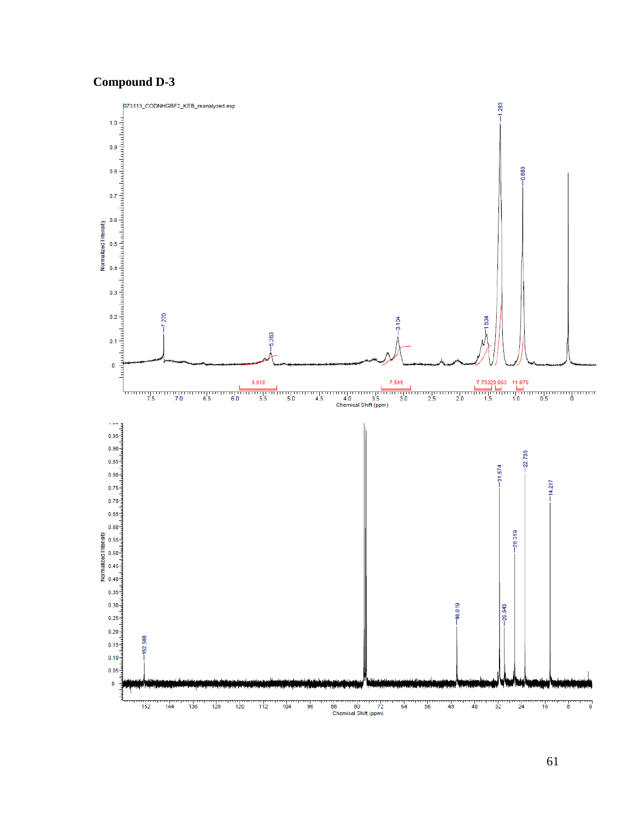# **Compound D-3**

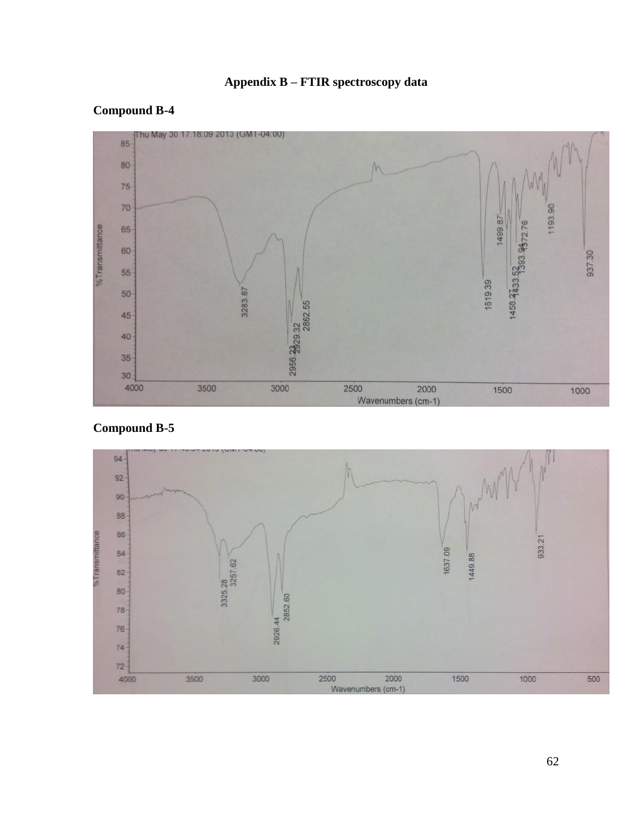# **Appendix B – FTIR spectroscopy data**

# **Compound B-4**





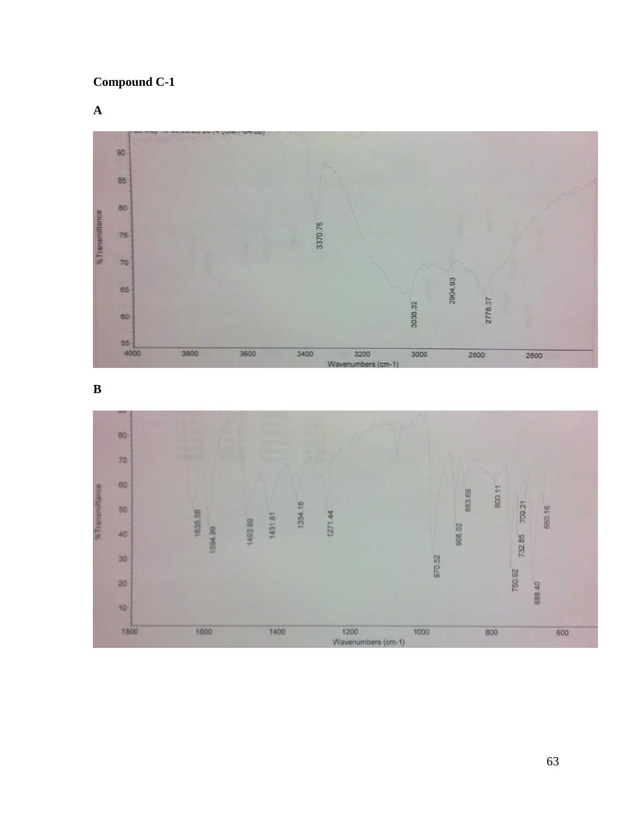**Compound C-1**

**A**



**B**

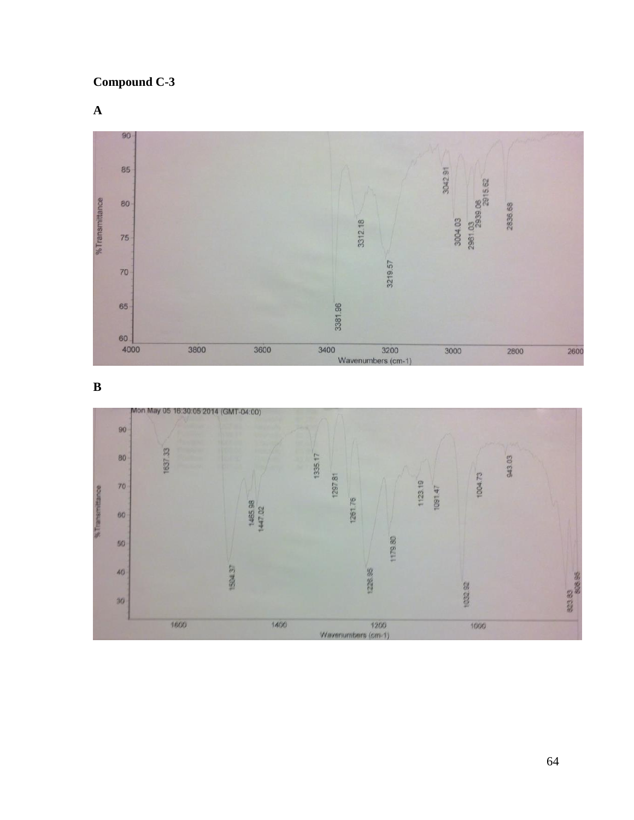**Compound C-3**

**A**



**B**

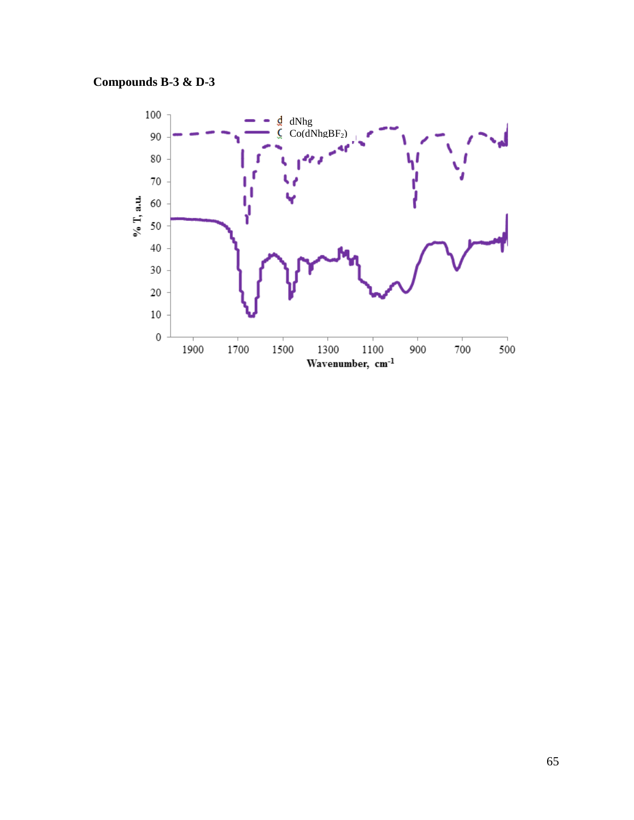# **Compounds B-3 & D-3**

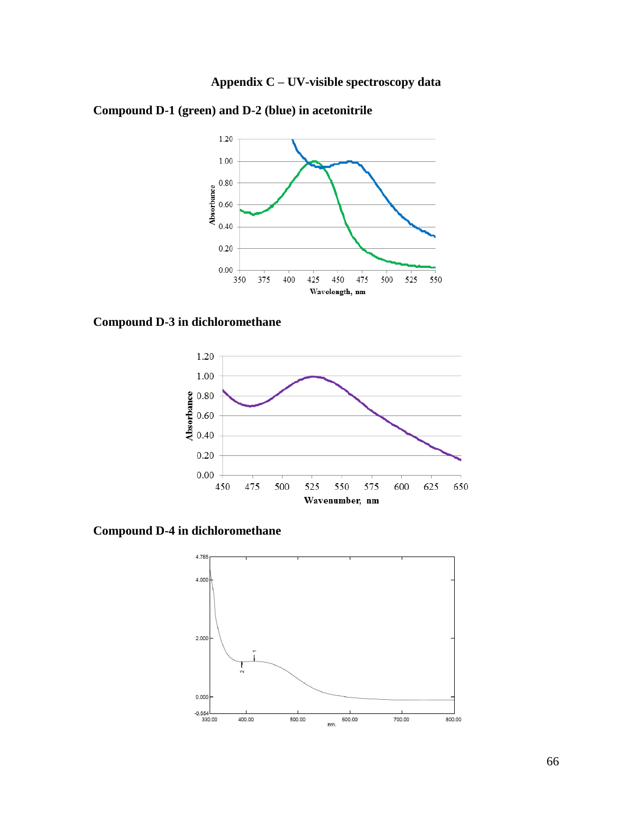



**Compound D-1 (green) and D-2 (blue) in acetonitrile**

# **Compound D-3 in dichloromethane**



**Compound D-4 in dichloromethane**